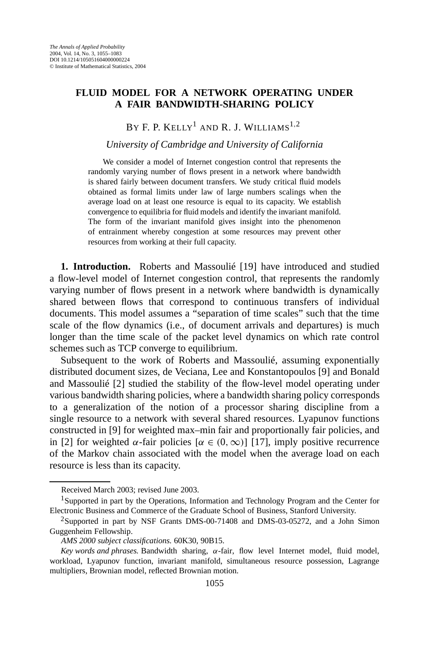# **FLUID MODEL FOR A NETWORK OPERATING UNDER A FAIR BANDWIDTH-SHARING POLICY**

BY F. P. KELLY<sup>1</sup> AND R. J. WILLIAMS<sup>1,2</sup>

### *University of Cambridge and University of California*

We consider a model of Internet congestion control that represents the randomly varying number of flows present in a network where bandwidth is shared fairly between document transfers. We study critical fluid models obtained as formal limits under law of large numbers scalings when the average load on at least one resource is equal to its capacity. We establish convergence to equilibria for fluid models and identify the invariant manifold. The form of the invariant manifold gives insight into the phenomenon of entrainment whereby congestion at some resources may prevent other resources from working at their full capacity.

**1. Introduction.** Roberts and Massoulié [19] have introduced and studied a flow-level model of Internet congestion control, that represents the randomly varying number of flows present in a network where bandwidth is dynamically shared between flows that correspond to continuous transfers of individual documents. This model assumes a "separation of time scales" such that the time scale of the flow dynamics (i.e., of document arrivals and departures) is much longer than the time scale of the packet level dynamics on which rate control schemes such as TCP converge to equilibrium.

Subsequent to the work of Roberts and Massoulié, assuming exponentially distributed document sizes, de Veciana, Lee and Konstantopoulos [9] and Bonald and Massoulié [2] studied the stability of the flow-level model operating under various bandwidth sharing policies, where a bandwidth sharing policy corresponds to a generalization of the notion of a processor sharing discipline from a single resource to a network with several shared resources. Lyapunov functions constructed in [9] for weighted max–min fair and proportionally fair policies, and in [2] for weighted  $\alpha$ -fair policies  $[\alpha \in (0, \infty)]$  [17], imply positive recurrence of the Markov chain associated with the model when the average load on each resource is less than its capacity.

Received March 2003; revised June 2003.

<sup>1</sup>Supported in part by the Operations, Information and Technology Program and the Center for Electronic Business and Commerce of the Graduate School of Business, Stanford University.

<sup>2</sup>Supported in part by NSF Grants DMS-00-71408 and DMS-03-05272, and a John Simon Guggenheim Fellowship.

*AMS 2000 subject classifications.* 60K30, 90B15.

*Key words and phrases.* Bandwidth sharing, *α*-fair, flow level Internet model, fluid model, workload, Lyapunov function, invariant manifold, simultaneous resource possession, Lagrange multipliers, Brownian model, reflected Brownian motion.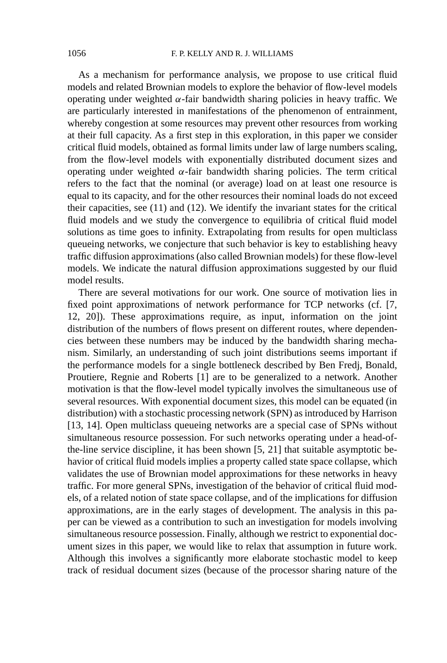As a mechanism for performance analysis, we propose to use critical fluid models and related Brownian models to explore the behavior of flow-level models operating under weighted *α*-fair bandwidth sharing policies in heavy traffic. We are particularly interested in manifestations of the phenomenon of entrainment, whereby congestion at some resources may prevent other resources from working at their full capacity. As a first step in this exploration, in this paper we consider critical fluid models, obtained as formal limits under law of large numbers scaling, from the flow-level models with exponentially distributed document sizes and operating under weighted *α*-fair bandwidth sharing policies. The term critical refers to the fact that the nominal (or average) load on at least one resource is equal to its capacity, and for the other resources their nominal loads do not exceed their capacities, see (11) and (12). We identify the invariant states for the critical fluid models and we study the convergence to equilibria of critical fluid model solutions as time goes to infinity. Extrapolating from results for open multiclass queueing networks, we conjecture that such behavior is key to establishing heavy traffic diffusion approximations (also called Brownian models) for these flow-level models. We indicate the natural diffusion approximations suggested by our fluid model results.

There are several motivations for our work. One source of motivation lies in fixed point approximations of network performance for TCP networks (cf. [7, 12, 20]). These approximations require, as input, information on the joint distribution of the numbers of flows present on different routes, where dependencies between these numbers may be induced by the bandwidth sharing mechanism. Similarly, an understanding of such joint distributions seems important if the performance models for a single bottleneck described by Ben Fredj, Bonald, Proutiere, Regnie and Roberts [1] are to be generalized to a network. Another motivation is that the flow-level model typically involves the simultaneous use of several resources. With exponential document sizes, this model can be equated (in distribution) with a stochastic processing network (SPN) as introduced by Harrison [13, 14]. Open multiclass queueing networks are a special case of SPNs without simultaneous resource possession. For such networks operating under a head-ofthe-line service discipline, it has been shown [5, 21] that suitable asymptotic behavior of critical fluid models implies a property called state space collapse, which validates the use of Brownian model approximations for these networks in heavy traffic. For more general SPNs, investigation of the behavior of critical fluid models, of a related notion of state space collapse, and of the implications for diffusion approximations, are in the early stages of development. The analysis in this paper can be viewed as a contribution to such an investigation for models involving simultaneous resource possession. Finally, although we restrict to exponential document sizes in this paper, we would like to relax that assumption in future work. Although this involves a significantly more elaborate stochastic model to keep track of residual document sizes (because of the processor sharing nature of the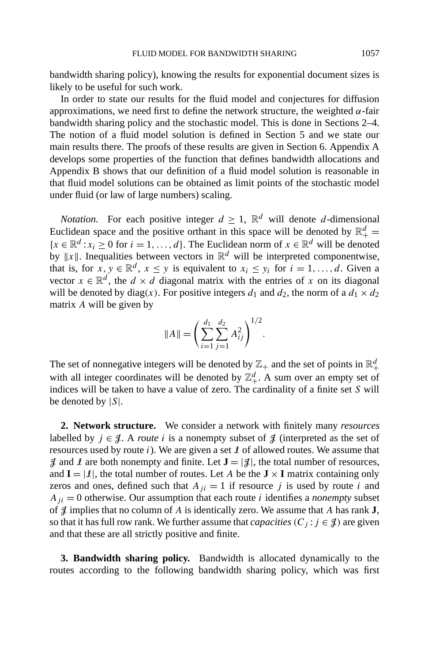bandwidth sharing policy), knowing the results for exponential document sizes is likely to be useful for such work.

In order to state our results for the fluid model and conjectures for diffusion approximations, we need first to define the network structure, the weighted *α*-fair bandwidth sharing policy and the stochastic model. This is done in Sections 2–4. The notion of a fluid model solution is defined in Section 5 and we state our main results there. The proofs of these results are given in Section 6. Appendix A develops some properties of the function that defines bandwidth allocations and Appendix B shows that our definition of a fluid model solution is reasonable in that fluid model solutions can be obtained as limit points of the stochastic model under fluid (or law of large numbers) scaling.

*Notation.* For each positive integer  $d \geq 1$ ,  $\mathbb{R}^d$  will denote *d*-dimensional Euclidean space and the positive orthant in this space will be denoted by  $\mathbb{R}^d_+$  =  ${x \in \mathbb{R}^d : x_i \ge 0 \text{ for } i = 1, \ldots, d}$ . The Euclidean norm of  $x \in \mathbb{R}^d$  will be denoted by  $||x||$ . Inequalities between vectors in  $\mathbb{R}^d$  will be interpreted componentwise, that is, for  $x, y \in \mathbb{R}^d$ ,  $x \leq y$  is equivalent to  $x_i \leq y_i$  for  $i = 1, ..., d$ . Given a vector  $x \in \mathbb{R}^d$ , the  $d \times d$  diagonal matrix with the entries of x on its diagonal will be denoted by diag(x). For positive integers  $d_1$  and  $d_2$ , the norm of a  $d_1 \times d_2$ matrix *A* will be given by

$$
||A|| = \left(\sum_{i=1}^{d_1} \sum_{j=1}^{d_2} A_{ij}^2\right)^{1/2}.
$$

The set of nonnegative integers will be denoted by  $\mathbb{Z}_+$  and the set of points in  $\mathbb{R}^d_+$ with all integer coordinates will be denoted by  $\mathbb{Z}_+^d$ . A sum over an empty set of indices will be taken to have a value of zero. The cardinality of a finite set *S* will be denoted by |*S*|.

**2. Network structure.** We consider a network with finitely many *resources* labelled by  $j \in \mathcal{J}$ . A *route i* is a nonempty subset of  $\mathcal{J}$  (interpreted as the set of resources used by route *i*). We are given a set I of allowed routes. We assume that  $\mathcal{J}$  and  $\mathcal{I}$  are both nonempty and finite. Let  $\mathbf{J} = |\mathcal{J}|$ , the total number of resources, and  $I = |I|$ , the total number of routes. Let *A* be the  $J \times I$  matrix containing only zeros and ones, defined such that  $A_{ji} = 1$  if resource *j* is used by route *i* and  $A_{ii} = 0$  otherwise. Our assumption that each route *i* identifies a *nonempty* subset of J implies that no column of *A* is identically zero. We assume that *A* has rank **J**, so that it has full row rank. We further assume that *capacities*  $(C_j : j \in \mathcal{J})$  are given and that these are all strictly positive and finite.

**3. Bandwidth sharing policy.** Bandwidth is allocated dynamically to the routes according to the following bandwidth sharing policy, which was first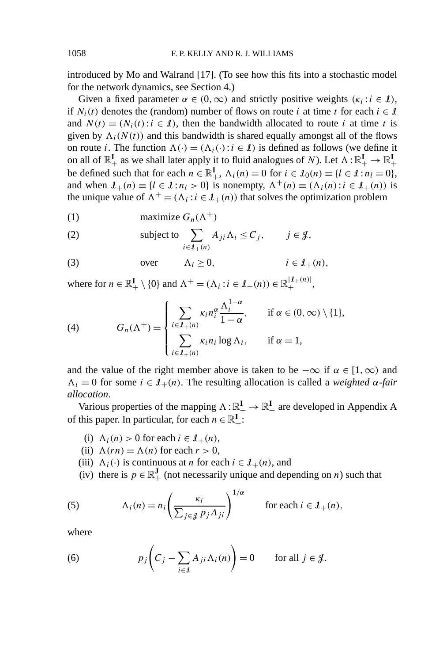introduced by Mo and Walrand [17]. (To see how this fits into a stochastic model for the network dynamics, see Section 4.)

Given a fixed parameter  $\alpha \in (0, \infty)$  and strictly positive weights  $(\kappa_i : i \in \mathcal{I})$ , if  $N_i(t)$  denotes the (random) number of flows on route *i* at time *t* for each  $i \in \mathcal{I}$ and  $N(t) = (N_i(t): i \in I)$ , then the bandwidth allocated to route *i* at time *t* is given by  $\Lambda_i(N(t))$  and this bandwidth is shared equally amongst all of the flows on route *i*. The function  $\Lambda(\cdot) = (\Lambda_i(\cdot): i \in \mathcal{I})$  is defined as follows (we define it on all of  $\mathbb{R}^I_+$  as we shall later apply it to fluid analogues of *N*). Let  $\Lambda: \mathbb{R}^I_+ \to \mathbb{R}^I_+$ be defined such that for each  $n \in \mathbb{R}^I_+$ ,  $\Lambda_i(n) = 0$  for  $i \in \mathcal{L}_0(n) \equiv \{l \in \mathcal{L} : n_l = 0\}$ , and when  $I_+(n) \equiv \{l \in I : n_l > 0\}$  is nonempty,  $\Lambda^+(n) \equiv (\Lambda_i(n): i \in I_+(n))$  is the unique value of  $\Lambda^+ = (\Lambda_i : i \in I_+(n))$  that solves the optimization problem

(1) maximize 
$$
G_n(\Lambda^+)
$$

(2) subject to 
$$
\sum_{i \in J_+(n)} A_{ji} \Lambda_i \leq C_j, \qquad j \in \mathcal{J},
$$

(3) over 
$$
\Lambda_i \geq 0
$$
,  $i \in \mathcal{I}_+(n)$ ,

where for  $n \in \mathbb{R}^I_+ \setminus \{0\}$  and  $\Lambda^+ = (\Lambda_i : i \in \mathcal{I}_+(n)) \in \mathbb{R}^{\vert \mathcal{I}_+(n) \vert}_+$ ,

(4) 
$$
G_n(\Lambda^+) = \begin{cases} \sum_{i \in \mathcal{I}_+(n)} \kappa_i n_i^{\alpha} \frac{\Lambda_i^{1-\alpha}}{1-\alpha}, & \text{if } \alpha \in (0, \infty) \setminus \{1\}, \\ \sum_{i \in \mathcal{I}_+(n)} \kappa_i n_i \log \Lambda_i, & \text{if } \alpha = 1, \end{cases}
$$

and the value of the right member above is taken to be  $-\infty$  if  $\alpha \in [1, \infty)$  and  $\Lambda_i = 0$  for some  $i \in \mathcal{I}_{+}(n)$ . The resulting allocation is called a *weighted*  $\alpha$ -fair *allocation*.

Various properties of the mapping  $\Lambda : \mathbb{R}_+^{\mathbf{I}} \to \mathbb{R}_+^{\mathbf{I}}$  are developed in Appendix A of this paper. In particular, for each  $n \in \mathbb{R}^I_+$ :

- (i)  $\Lambda_i(n) > 0$  for each  $i \in \mathcal{I}_+(n)$ ,
- (ii)  $\Lambda(rn) = \Lambda(n)$  for each  $r > 0$ ,
- (iii)  $\Lambda_i(\cdot)$  is continuous at *n* for each  $i \in \mathcal{I}_+(n)$ , and
- (iv) there is  $p \in \mathbb{R}^J_+$  (not necessarily unique and depending on *n*) such that

(5) 
$$
\Lambda_i(n) = n_i \left( \frac{\kappa_i}{\sum_{j \in \mathcal{J}} p_j A_{ji}} \right)^{1/\alpha} \quad \text{for each } i \in \mathcal{I}_+(n),
$$

where

(6) 
$$
p_j\left(C_j - \sum_{i \in \mathcal{I}} A_{ji} \Lambda_i(n)\right) = 0 \quad \text{for all } j \in \mathcal{J}.
$$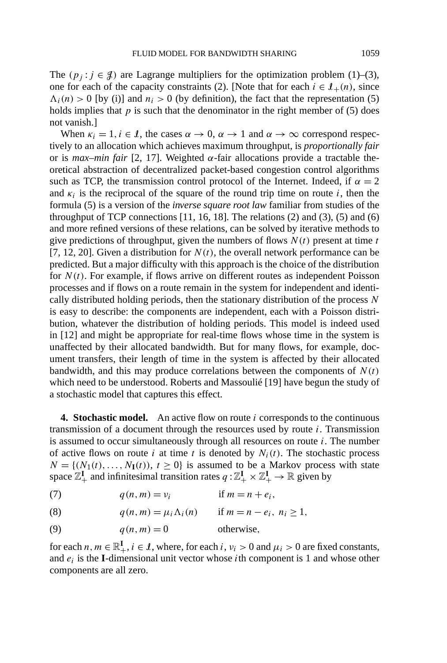The  $(p_i : j \in \mathcal{J})$  are Lagrange multipliers for the optimization problem (1)–(3), one for each of the capacity constraints (2). [Note that for each  $i \in I_+(n)$ , since  $\Lambda_i(n) > 0$  [by (i)] and  $n_i > 0$  (by definition), the fact that the representation (5) holds implies that  $p$  is such that the denominator in the right member of  $(5)$  does not vanish.]

When  $\kappa_i = 1, i \in \mathcal{I}$ , the cases  $\alpha \to 0, \alpha \to 1$  and  $\alpha \to \infty$  correspond respectively to an allocation which achieves maximum throughput, is *proportionally fair* or is *max–min fair* [2, 17]. Weighted *α*-fair allocations provide a tractable theoretical abstraction of decentralized packet-based congestion control algorithms such as TCP, the transmission control protocol of the Internet. Indeed, if  $\alpha = 2$ and  $\kappa_i$  is the reciprocal of the square of the round trip time on route *i*, then the formula (5) is a version of the *inverse square root law* familiar from studies of the throughput of TCP connections  $[11, 16, 18]$ . The relations  $(2)$  and  $(3)$ ,  $(5)$  and  $(6)$ and more refined versions of these relations, can be solved by iterative methods to give predictions of throughput, given the numbers of flows  $N(t)$  present at time  $t$ [7, 12, 20]. Given a distribution for  $N(t)$ , the overall network performance can be predicted. But a major difficulty with this approach is the choice of the distribution for  $N(t)$ . For example, if flows arrive on different routes as independent Poisson processes and if flows on a route remain in the system for independent and identically distributed holding periods, then the stationary distribution of the process *N* is easy to describe: the components are independent, each with a Poisson distribution, whatever the distribution of holding periods. This model is indeed used in [12] and might be appropriate for real-time flows whose time in the system is unaffected by their allocated bandwidth. But for many flows, for example, document transfers, their length of time in the system is affected by their allocated bandwidth, and this may produce correlations between the components of  $N(t)$ which need to be understood. Roberts and Massoulié [19] have begun the study of a stochastic model that captures this effect.

**4. Stochastic model.** An active flow on route *i* corresponds to the continuous transmission of a document through the resources used by route *i*. Transmission is assumed to occur simultaneously through all resources on route *i*. The number of active flows on route *i* at time *t* is denoted by  $N_i(t)$ . The stochastic process  $N = \{(N_1(t), \ldots, N_{\mathbf{I}}(t)), t \geq 0\}$  is assumed to be a Markov process with state space  $\mathbb{Z}_+^{\mathbf{I}}$  and infinitesimal transition rates  $q : \mathbb{Z}_+^{\mathbf{I}} \times \mathbb{Z}_+^{\mathbf{I}} \to \mathbb{R}$  given by

(7)  $q(n,m) = v_i$  if  $m = n + e_i$ ,

(8)  $q(n, m) = \mu_i \Lambda_i(n)$  if  $m = n - e_i, n_i \ge 1$ ,

(9)  $q(n,m) = 0$  otherwise,

for each  $n, m \in \mathbb{R}^I_+$ ,  $i \in I$ , where, for each  $i, v_i > 0$  and  $\mu_i > 0$  are fixed constants, and  $e_i$  is the **I**-dimensional unit vector whose *i*th component is 1 and whose other components are all zero.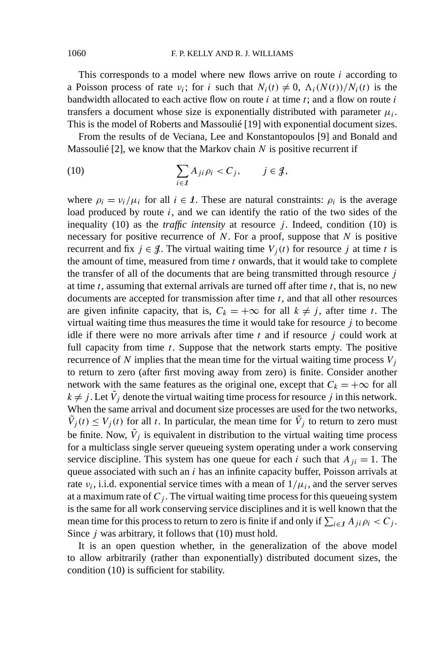This corresponds to a model where new flows arrive on route *i* according to a Poisson process of rate  $v_i$ ; for *i* such that  $N_i(t) \neq 0$ ,  $\Lambda_i(N(t))/N_i(t)$  is the bandwidth allocated to each active flow on route *i* at time *t*; and a flow on route *i* transfers a document whose size is exponentially distributed with parameter  $\mu_i$ . This is the model of Roberts and Massoulié [19] with exponential document sizes.

From the results of de Veciana, Lee and Konstantopoulos [9] and Bonald and Massoulié [2], we know that the Markov chain *N* is positive recurrent if

(10) 
$$
\sum_{i \in \mathcal{I}} A_{ji} \rho_i < C_j, \qquad j \in \mathcal{J},
$$

where  $\rho_i = v_i/\mu_i$  for all  $i \in \mathcal{I}$ . These are natural constraints:  $\rho_i$  is the average load produced by route *i*, and we can identify the ratio of the two sides of the inequality  $(10)$  as the *traffic intensity* at resource *j*. Indeed, condition  $(10)$  is necessary for positive recurrence of *N*. For a proof, suppose that *N* is positive recurrent and fix  $j \in \mathcal{J}$ . The virtual waiting time  $V_j(t)$  for resource *j* at time *t* is the amount of time, measured from time *t* onwards, that it would take to complete the transfer of all of the documents that are being transmitted through resource *j* at time *t*, assuming that external arrivals are turned off after time *t*, that is, no new documents are accepted for transmission after time *t*, and that all other resources are given infinite capacity, that is,  $C_k = +\infty$  for all  $k \neq j$ , after time *t*. The virtual waiting time thus measures the time it would take for resource *j* to become idle if there were no more arrivals after time *t* and if resource *j* could work at full capacity from time *t*. Suppose that the network starts empty. The positive recurrence of *N* implies that the mean time for the virtual waiting time process  $V_i$ to return to zero (after first moving away from zero) is finite. Consider another network with the same features as the original one, except that  $C_k = +\infty$  for all  $k \neq j$ . Let  $\tilde{V}_j$  denote the virtual waiting time process for resource *j* in this network. When the same arrival and document size processes are used for the two networks,  $\tilde{V}_j(t) \leq V_j(t)$  for all *t*. In particular, the mean time for  $\tilde{V}_j$  to return to zero must be finite. Now,  $\tilde{V}_j$  is equivalent in distribution to the virtual waiting time process for a multiclass single server queueing system operating under a work conserving service discipline. This system has one queue for each *i* such that  $A_{ii} = 1$ . The queue associated with such an *i* has an infinite capacity buffer, Poisson arrivals at rate  $v_i$ , i.i.d. exponential service times with a mean of  $1/\mu_i$ , and the server serves at a maximum rate of  $C_j$ . The virtual waiting time process for this queueing system is the same for all work conserving service disciplines and it is well known that the mean time for this process to return to zero is finite if and only if  $\sum_{i \in I} A_{ji} \rho_i < C_j$ . Since *j* was arbitrary, it follows that (10) must hold.

It is an open question whether, in the generalization of the above model to allow arbitrarily (rather than exponentially) distributed document sizes, the condition (10) is sufficient for stability.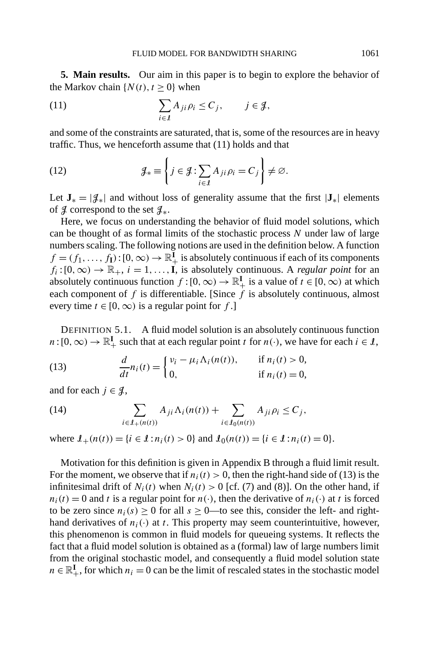**5. Main results.** Our aim in this paper is to begin to explore the behavior of the Markov chain  $\{N(t), t \geq 0\}$  when

(11) 
$$
\sum_{i \in \mathcal{I}} A_{ji} \rho_i \leq C_j, \qquad j \in \mathcal{J},
$$

and some of the constraints are saturated, that is, some of the resources are in heavy traffic. Thus, we henceforth assume that (11) holds and that

(12) 
$$
\mathcal{J}_* \equiv \left\{ j \in \mathcal{J} : \sum_{i \in \mathcal{I}} A_{ji} \rho_i = C_j \right\} \neq \varnothing.
$$

Let  $J_* = |\mathcal{J}_*|$  and without loss of generality assume that the first  $|J_*|$  elements of  $\beta$  correspond to the set  $\mathcal{J}_*$ .

Here, we focus on understanding the behavior of fluid model solutions, which can be thought of as formal limits of the stochastic process *N* under law of large numbers scaling. The following notions are used in the definition below. A function  $f = (f_1, \ldots, f_I) : [0, \infty) \to \mathbb{R}^I_+$  is absolutely continuous if each of its components  $f_i$ :  $[0, \infty) \to \mathbb{R}_+$ ,  $i = 1, \ldots, I$ , is absolutely continuous. A *regular point* for an absolutely continuous function  $f:[0,\infty) \to \mathbb{R}^I_+$  is a value of  $t \in [0,\infty)$  at which each component of  $f$  is differentiable. [Since  $\dot{f}$  is absolutely continuous, almost every time  $t \in [0, \infty)$  is a regular point for f.

DEFINITION 5.1. A fluid model solution is an absolutely continuous function  $n:[0,\infty) \to \mathbb{R}^I_+$  such that at each regular point *t* for *n*(·), we have for each  $i \in I$ ,

(13) 
$$
\frac{d}{dt}n_i(t) = \begin{cases} v_i - \mu_i \Lambda_i(n(t)), & \text{if } n_i(t) > 0, \\ 0, & \text{if } n_i(t) = 0, \end{cases}
$$

and for each  $j \in \mathcal{J}$ ,

(14) 
$$
\sum_{i \in \mathcal{I}_+(n(t))} A_{ji} \Lambda_i(n(t)) + \sum_{i \in \mathcal{I}_0(n(t))} A_{ji} \rho_i \leq C_j,
$$

where  $I_+(n(t)) = \{i \in I : n_i(t) > 0\}$  and  $I_0(n(t)) = \{i \in I : n_i(t) = 0\}.$ 

Motivation for this definition is given in Appendix B through a fluid limit result. For the moment, we observe that if  $n<sub>i</sub>(t) > 0$ , then the right-hand side of (13) is the infinitesimal drift of  $N_i(t)$  when  $N_i(t) > 0$  [cf. (7) and (8)]. On the other hand, if  $n_i(t) = 0$  and *t* is a regular point for  $n(\cdot)$ , then the derivative of  $n_i(\cdot)$  at *t* is forced to be zero since  $n_i(s) \ge 0$  for all  $s \ge 0$ —to see this, consider the left- and righthand derivatives of  $n_i(\cdot)$  at *t*. This property may seem counterintuitive, however, this phenomenon is common in fluid models for queueing systems. It reflects the fact that a fluid model solution is obtained as a (formal) law of large numbers limit from the original stochastic model, and consequently a fluid model solution state  $n \in \mathbb{R}^I_+$ , for which  $n_i = 0$  can be the limit of rescaled states in the stochastic model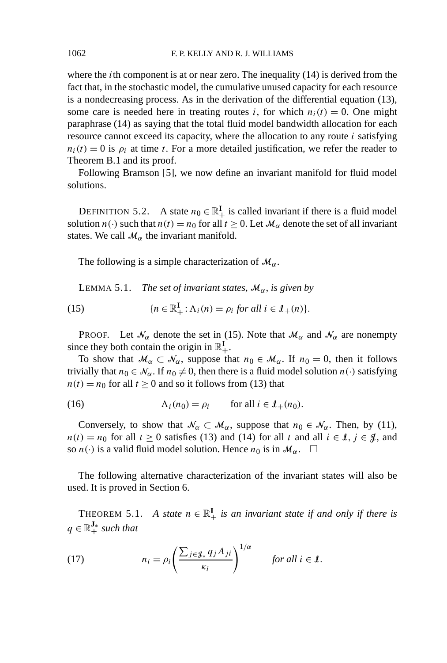where the *i*th component is at or near zero. The inequality (14) is derived from the fact that, in the stochastic model, the cumulative unused capacity for each resource is a nondecreasing process. As in the derivation of the differential equation (13), some care is needed here in treating routes *i*, for which  $n<sub>i</sub>(t) = 0$ . One might paraphrase (14) as saying that the total fluid model bandwidth allocation for each resource cannot exceed its capacity, where the allocation to any route *i* satisfying  $n_i(t) = 0$  is  $\rho_i$  at time *t*. For a more detailed justification, we refer the reader to Theorem B.1 and its proof.

Following Bramson [5], we now define an invariant manifold for fluid model solutions.

DEFINITION 5.2. A state  $n_0 \in \mathbb{R}^I_+$  is called invariant if there is a fluid model solution  $n(\cdot)$  such that  $n(t) = n_0$  for all  $t \ge 0$ . Let  $\mathcal{M}_{\alpha}$  denote the set of all invariant states. We call  $\mathcal{M}_{\alpha}$  the invariant manifold.

The following is a simple characterization of  $\mathcal{M}_{\alpha}$ .

**LEMMA 5.1.** *The set of invariant states,*  $\mathcal{M}_{\alpha}$ *, is given by* 

(15) 
$$
\{n \in \mathbb{R}^I_+ : \Lambda_i(n) = \rho_i \text{ for all } i \in \mathcal{I}_+(n)\}.
$$

PROOF. Let  $\mathcal{N}_{\alpha}$  denote the set in (15). Note that  $\mathcal{M}_{\alpha}$  and  $\mathcal{N}_{\alpha}$  are nonempty since they both contain the origin in  $\mathbb{R}^I_+$ .

To show that  $\mathcal{M}_{\alpha} \subset \mathcal{N}_{\alpha}$ , suppose that  $n_0 \in \mathcal{M}_{\alpha}$ . If  $n_0 = 0$ , then it follows trivially that  $n_0 \in \mathcal{N}_{\alpha}$ . If  $n_0 \neq 0$ , then there is a fluid model solution  $n(\cdot)$  satisfying  $n(t) = n_0$  for all  $t \ge 0$  and so it follows from (13) that

(16) 
$$
\Lambda_i(n_0) = \rho_i \quad \text{for all } i \in \mathcal{I}_+(n_0).
$$

Conversely, to show that  $\mathcal{N}_{\alpha} \subset \mathcal{M}_{\alpha}$ , suppose that  $n_0 \in \mathcal{N}_{\alpha}$ . Then, by (11),  $n(t) = n_0$  for all  $t \ge 0$  satisfies (13) and (14) for all  $t$  and all  $i \in I$ ,  $j \in J$ , and so  $n(\cdot)$  is a valid fluid model solution. Hence  $n_0$  is in  $\mathcal{M}_\alpha$ .  $\square$ 

The following alternative characterization of the invariant states will also be used. It is proved in Section 6.

THEOREM 5.1. *A state*  $n \in \mathbb{R}^I_+$  *is an invariant state if and only if there is*  $q \in \mathbb{R}^{\mathbf{J}_*}_{+}$  such that

(17) 
$$
n_i = \rho_i \left( \frac{\sum_{j \in \mathcal{J}_*} q_j A_{ji}}{\kappa_i} \right)^{1/\alpha} \quad \text{for all } i \in \mathcal{I}.
$$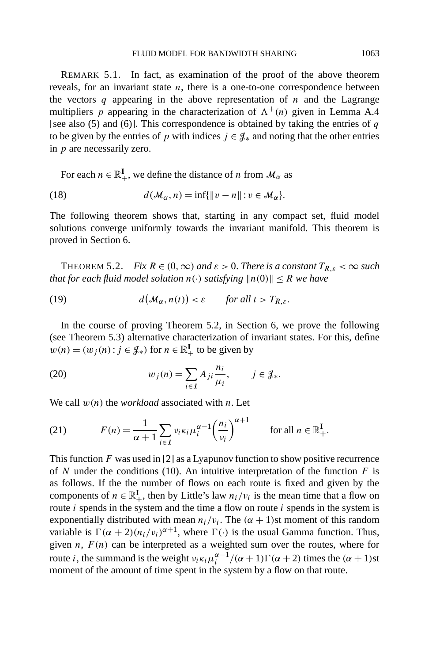REMARK 5.1. In fact, as examination of the proof of the above theorem reveals, for an invariant state  $n$ , there is a one-to-one correspondence between the vectors *q* appearing in the above representation of *n* and the Lagrange multipliers *p* appearing in the characterization of  $\Lambda^+(n)$  given in Lemma A.4 [see also (5) and (6)]. This correspondence is obtained by taking the entries of *q* to be given by the entries of *p* with indices  $j \in \mathcal{J}_*$  and noting that the other entries in *p* are necessarily zero.

For each  $n \in \mathbb{R}^I_+$ , we define the distance of *n* from  $\mathcal{M}_{\alpha}$  as

(18) 
$$
d(\mathcal{M}_{\alpha}, n) = \inf\{\|v - n\| : v \in \mathcal{M}_{\alpha}\}.
$$

The following theorem shows that, starting in any compact set, fluid model solutions converge uniformly towards the invariant manifold. This theorem is proved in Section 6.

THEOREM 5.2. *Fix*  $R \in (0, \infty)$  *and*  $\varepsilon > 0$ . *There is a constant*  $T_{R,\varepsilon} < \infty$  *such that for each fluid model solution*  $n(\cdot)$  *satisfying*  $||n(0)|| \leq R$  *we have* 

(19) 
$$
d(\mathcal{M}_{\alpha}, n(t)) < \varepsilon \quad \text{for all } t > T_{R,\varepsilon}.
$$

In the course of proving Theorem 5.2, in Section 6, we prove the following (see Theorem 5.3) alternative characterization of invariant states. For this, define  $w(n) = (w_j(n) : j \in \mathcal{J}_*)$  for  $n \in \mathbb{R}^{\mathbf{I}}_+$  to be given by

(20) 
$$
w_j(n) = \sum_{i \in \mathcal{I}} A_{ji} \frac{n_i}{\mu_i}, \qquad j \in \mathcal{J}_*.
$$

We call *w(n)* the *workload* associated with *n*. Let

(21) 
$$
F(n) = \frac{1}{\alpha + 1} \sum_{i \in \mathcal{I}} v_i \kappa_i \mu_i^{\alpha - 1} \left(\frac{n_i}{v_i}\right)^{\alpha + 1} \quad \text{for all } n \in \mathbb{R}_+^{\mathbf{I}}.
$$

This function *F* was used in [2] as a Lyapunov function to show positive recurrence of *N* under the conditions (10). An intuitive interpretation of the function  $F$  is as follows. If the the number of flows on each route is fixed and given by the components of  $n \in \mathbb{R}^I_+$ , then by Little's law  $n_i/v_i$  is the mean time that a flow on route *i* spends in the system and the time a flow on route *i* spends in the system is exponentially distributed with mean  $n_i/v_i$ . The  $(\alpha + 1)$ st moment of this random variable is  $\Gamma(\alpha + 2)(n_i/v_i)^{\alpha+1}$ , where  $\Gamma(\cdot)$  is the usual Gamma function. Thus, given  $n$ ,  $F(n)$  can be interpreted as a weighted sum over the routes, where for route *i*, the summand is the weight  $v_i \kappa_i \mu_i^{\alpha-1} / (\alpha+1) \Gamma(\alpha+2)$  times the  $(\alpha+1)$ st moment of the amount of time spent in the system by a flow on that route.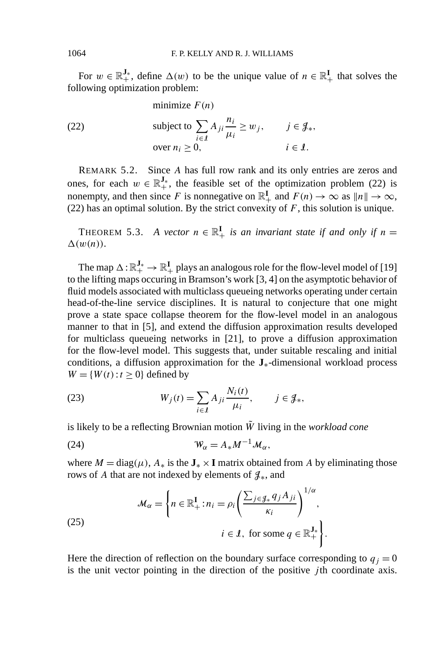For  $w \in \mathbb{R}^{\mathbf{J}_{*}}_{+}$ , define  $\Delta(w)$  to be the unique value of  $n \in \mathbb{R}^{\mathbf{I}}_{+}$  that solves the following optimization problem:

(22)

\n
$$
\text{subject to } \sum_{i \in \mathcal{I}} A_{ji} \frac{n_i}{\mu_i} \ge w_j, \qquad j \in \mathcal{J}_*,
$$
\n
$$
\text{over } n_i \ge 0, \qquad i \in \mathcal{I}.
$$

REMARK 5.2. Since *A* has full row rank and its only entries are zeros and ones, for each  $w \in \mathbb{R}^{J_*}$ , the feasible set of the optimization problem (22) is nonempty, and then since *F* is nonnegative on  $\mathbb{R}_+^{\mathbf{I}}$  and  $F(n) \to \infty$  as  $||n|| \to \infty$ , (22) has an optimal solution. By the strict convexity of  $F$ , this solution is unique.

THEOREM 5.3. *A vector*  $n \in \mathbb{R}^I_+$  *is an invariant state if and only if*  $n =$  $\Delta(w(n))$ .

The map  $\Delta$  :  $\mathbb{R}^{\mathbf{J}_*}_+ \to \mathbb{R}^{\mathbf{I}}_+$  plays an analogous role for the flow-level model of [19] to the lifting maps occuring in Bramson's work [3, 4] on the asymptotic behavior of fluid models associated with multiclass queueing networks operating under certain head-of-the-line service disciplines. It is natural to conjecture that one might prove a state space collapse theorem for the flow-level model in an analogous manner to that in [5], and extend the diffusion approximation results developed for multiclass queueing networks in [21], to prove a diffusion approximation for the flow-level model. This suggests that, under suitable rescaling and initial conditions, a diffusion approximation for the **J**∗-dimensional workload process  $W = \{W(t): t \geq 0\}$  defined by

(23) 
$$
W_j(t) = \sum_{i \in I} A_{ji} \frac{N_i(t)}{\mu_i}, \qquad j \in \mathcal{J}_*,
$$

is likely to be a reflecting Brownian motion  $\tilde{W}$  living in the *workload cone* 

(24) W*<sup>α</sup>* = *A*∗*M*−1M*α,*

where  $M = \text{diag}(\mu)$ ,  $A_*$  is the  $J_* \times I$  matrix obtained from A by eliminating those rows of *A* that are not indexed by elements of  $\mathcal{J}_*$ , and

(25) 
$$
\mathcal{M}_{\alpha} = \left\{ n \in \mathbb{R}_{+}^{I} : n_{i} = \rho_{i} \left( \frac{\sum_{j \in \mathcal{J}_{*}} q_{j} A_{ji}}{\kappa_{i}} \right)^{1/\alpha}, \right. \\ i \in \mathcal{I}, \text{ for some } q \in \mathbb{R}_{+}^{J_{*}} \right\}.
$$

Here the direction of reflection on the boundary surface corresponding to  $q_j = 0$ is the unit vector pointing in the direction of the positive *j* th coordinate axis.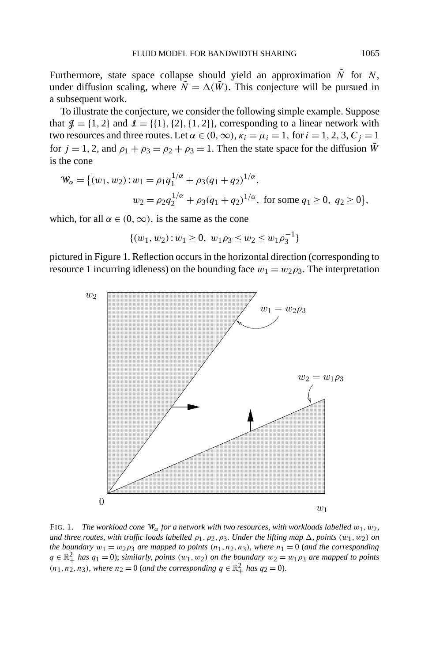Furthermore, state space collapse should yield an approximation  $\tilde{N}$  for *N*, under diffusion scaling, where  $\tilde{N} = \Delta(\tilde{W})$ . This conjecture will be pursued in a subsequent work.

To illustrate the conjecture, we consider the following simple example. Suppose that  $\mathcal{J} = \{1, 2\}$  and  $\mathcal{I} = \{\{1\}, \{2\}, \{1, 2\}\}\$ , corresponding to a linear network with two resources and three routes. Let *α* ∈ (0, ∞),  $κ<sub>i</sub> = μ<sub>i</sub> = 1$ , for  $i = 1, 2, 3, C<sub>j</sub> = 1$ for  $j = 1, 2$ , and  $\rho_1 + \rho_3 = \rho_2 + \rho_3 = 1$ . Then the state space for the diffusion  $\tilde{W}$ is the cone

$$
\mathcal{W}_{\alpha} = \{ (w_1, w_2) : w_1 = \rho_1 q_1^{1/\alpha} + \rho_3 (q_1 + q_2)^{1/\alpha},
$$
  

$$
w_2 = \rho_2 q_2^{1/\alpha} + \rho_3 (q_1 + q_2)^{1/\alpha}, \text{ for some } q_1 \ge 0, q_2 \ge 0 \},
$$

which, for all  $\alpha \in (0, \infty)$ , is the same as the cone

$$
\{(w_1, w_2): w_1 \ge 0, w_1 \rho_3 \le w_2 \le w_1 \rho_3^{-1}\}\
$$

pictured in Figure 1. Reflection occurs in the horizontal direction (corresponding to resource 1 incurring idleness) on the bounding face  $w_1 = w_2 \rho_3$ . The interpretation



FIG. 1. *The workload cone* W*α for a network with two resources*, *with workloads labelled w*1*, w*2, *and three routes, with traffic loads labelled*  $\rho_1$ ,  $\rho_2$ ,  $\rho_3$ . *Under the lifting map*  $\Delta$ , *points*  $(w_1, w_2)$  *on the boundary*  $w_1 = w_2 \rho_3$  *are mapped to points*  $(n_1, n_2, n_3)$ *, where*  $n_1 = 0$  (*and the corresponding*  $q \in \mathbb{R}^2_+$  *has*  $q_1 = 0$ ; *similarly, points*  $(w_1, w_2)$  *on the boundary*  $w_2 = w_1 \rho_3$  *are mapped to points*  $(n_1, n_2, n_3)$ , *where*  $n_2 = 0$  (*and the corresponding*  $q \in \mathbb{R}^2_+$  *has*  $q_2 = 0$ ).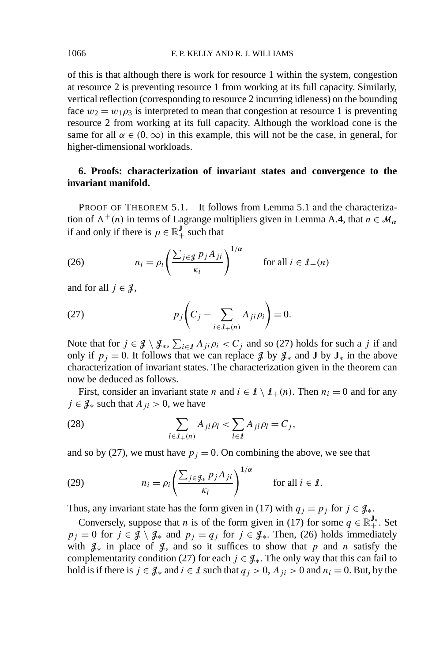of this is that although there is work for resource 1 within the system, congestion at resource 2 is preventing resource 1 from working at its full capacity. Similarly, vertical reflection (corresponding to resource 2 incurring idleness) on the bounding face  $w_2 = w_1 \rho_3$  is interpreted to mean that congestion at resource 1 is preventing resource 2 from working at its full capacity. Although the workload cone is the same for all  $\alpha \in (0, \infty)$  in this example, this will not be the case, in general, for higher-dimensional workloads.

## **6. Proofs: characterization of invariant states and convergence to the invariant manifold.**

PROOF OF THEOREM 5.1. It follows from Lemma 5.1 and the characterization of  $\Lambda^+(n)$  in terms of Lagrange multipliers given in Lemma A.4, that  $n \in \mathcal{M}_\alpha$ if and only if there is  $p \in \mathbb{R}^J_+$  such that

(26) 
$$
n_i = \rho_i \left( \frac{\sum_{j \in \mathcal{J}} p_j A_{ji}}{\kappa_i} \right)^{1/\alpha} \quad \text{for all } i \in \mathcal{I}_+(n)
$$

and for all  $j \in \mathcal{J}$ ,

(27) 
$$
p_j\left(C_j-\sum_{i\in\mathcal{I}_+(n)}A_{ji}\rho_i\right)=0.
$$

Note that for  $j \in \mathcal{J} \setminus \mathcal{J}_*, \sum_{i \in \mathcal{I}} A_{ji} \rho_i < C_j$  and so (27) holds for such a *j* if and only if  $p_j = 0$ . It follows that we can replace  $\mathcal{J}$  by  $\mathcal{J}_*$  and **J** by  $\mathbf{J}_*$  in the above characterization of invariant states. The characterization given in the theorem can now be deduced as follows.

First, consider an invariant state *n* and  $i \in \mathcal{I} \setminus \mathcal{I}_+(n)$ . Then  $n_i = 0$  and for any *j* ∈  $\mathcal{J}_*$  such that  $A_{ji} > 0$ , we have

(28) 
$$
\sum_{l \in \mathcal{I}_{+}(n)} A_{jl} \rho_l < \sum_{l \in \mathcal{I}} A_{jl} \rho_l = C_j,
$$

and so by (27), we must have  $p_j = 0$ . On combining the above, we see that

(29) 
$$
n_i = \rho_i \left( \frac{\sum_{j \in \mathcal{J}_*} p_j A_{ji}}{\kappa_i} \right)^{1/\alpha} \quad \text{for all } i \in \mathcal{I}.
$$

Thus, any invariant state has the form given in (17) with  $q_j = p_j$  for  $j \in \mathcal{J}_*$ .

Conversely, suppose that *n* is of the form given in (17) for some  $q \in \mathbb{R}^{\mathbf{J}_*}_+$ . Set *p<sub>j</sub>* = 0 for *j* ∈  $\mathcal{J} \setminus \mathcal{J}_*$  and *p<sub>j</sub>* = *q<sub>j</sub>* for *j* ∈  $\mathcal{J}_*$ . Then, (26) holds immediately with  $\mathcal{J}_*$  in place of  $\mathcal{J}_*$ , and so it suffices to show that *p* and *n* satisfy the complementarity condition (27) for each  $j \in \mathcal{J}_*$ . The only way that this can fail to hold is if there is *j* ∈  $\mathcal{J}_*$  and *i* ∈ *I* such that  $q_j > 0$ ,  $A_{ji} > 0$  and  $n_i = 0$ . But, by the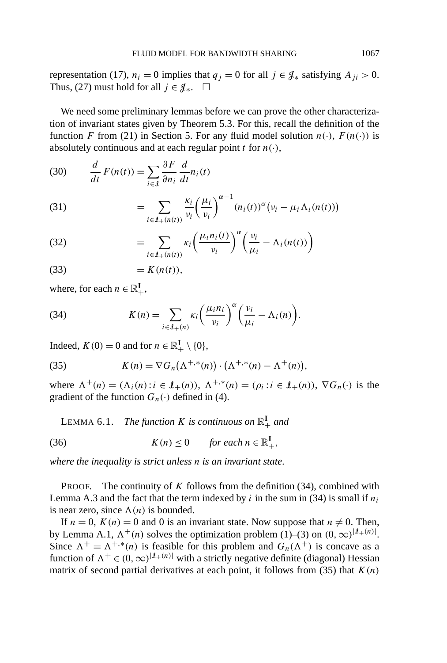representation (17),  $n_i = 0$  implies that  $q_j = 0$  for all  $j \in \mathcal{J}_*$  satisfying  $A_{ji} > 0$ . Thus, (27) must hold for all  $j \in \mathcal{J}_*$ .  $\square$ 

We need some preliminary lemmas before we can prove the other characterization of invariant states given by Theorem 5.3. For this, recall the definition of the function *F* from (21) in Section 5. For any fluid model solution  $n(\cdot)$ ,  $F(n(\cdot))$  is absolutely continuous and at each regular point  $t$  for  $n(\cdot)$ ,

(30) 
$$
\frac{d}{dt} F(n(t)) = \sum_{i \in \mathcal{I}} \frac{\partial F}{\partial n_i} \frac{d}{dt} n_i(t)
$$

(31) 
$$
= \sum_{i \in \mathcal{I}_+(n(t))} \frac{\kappa_i}{\nu_i} \left(\frac{\mu_i}{\nu_i}\right)^{\alpha-1} (n_i(t))^{\alpha} (\nu_i - \mu_i \Lambda_i(n(t)))
$$

(32) 
$$
= \sum_{i \in \mathcal{I}_+(n(t))} \kappa_i \left( \frac{\mu_i n_i(t)}{\nu_i} \right)^{\alpha} \left( \frac{\nu_i}{\mu_i} - \Lambda_i(n(t)) \right)
$$

$$
(33) \qquad \qquad = K(n(t)),
$$

where, for each  $n \in \mathbb{R}^{\mathbf{I}}_+$ ,

(34) 
$$
K(n) = \sum_{i \in I_+(n)} \kappa_i \left(\frac{\mu_i n_i}{\nu_i}\right)^{\alpha} \left(\frac{\nu_i}{\mu_i} - \Lambda_i(n)\right).
$$

Indeed,  $K(0) = 0$  and for  $n \in \mathbb{R}^I_+ \setminus \{0\}$ ,

(35) 
$$
K(n) = \nabla G_n(\Lambda^{+,*}(n)) \cdot (\Lambda^{+,*}(n) - \Lambda^+(n)),
$$

where  $\Lambda^+(n) = (\Lambda_i(n): i \in I_+(n)), \Lambda^{+,*}(n) = (\rho_i: i \in I_+(n)), \nabla G_n(\cdot)$  is the gradient of the function  $G_n(\cdot)$  defined in (4).

LEMMA 6.1. *The function K is continuous on*  $\mathbb{R}^I_+$  *and* 

(36) 
$$
K(n) \leq 0 \quad \text{for each } n \in \mathbb{R}^I_+,
$$

*where the inequality is strict unless n is an invariant state*.

PROOF. The continuity of *K* follows from the definition (34), combined with Lemma A.3 and the fact that the term indexed by  $i$  in the sum in (34) is small if  $n_i$ is near zero, since  $\Lambda(n)$  is bounded.

If  $n = 0$ ,  $K(n) = 0$  and 0 is an invariant state. Now suppose that  $n \neq 0$ . Then, by Lemma A.1,  $\Lambda^+(n)$  solves the optimization problem (1)–(3) on  $(0, \infty)^{|I+(n)|}$ . Since  $\Lambda^+ = \Lambda^{+, *}(n)$  is feasible for this problem and  $G_n(\Lambda^+)$  is concave as a function of  $\Lambda^+ \in (0, \infty)^{|I_+(n)|}$  with a strictly negative definite (diagonal) Hessian matrix of second partial derivatives at each point, it follows from  $(35)$  that  $K(n)$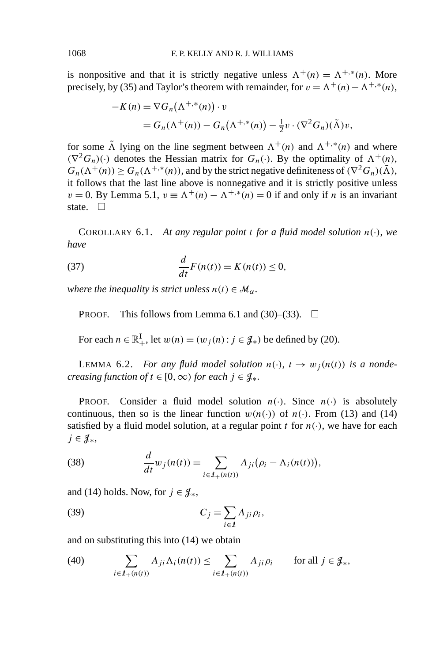is nonpositive and that it is strictly negative unless  $\Lambda^+(n) = \Lambda^{+,*}(n)$ . More precisely, by (35) and Taylor's theorem with remainder, for  $v = \Lambda^+(n) - \Lambda^{+, *}(n)$ ,

$$
-K(n) = \nabla G_n(\Lambda^{+,*}(n)) \cdot v
$$
  
=  $G_n(\Lambda^+(n)) - G_n(\Lambda^{+,*}(n)) - \frac{1}{2}v \cdot (\nabla^2 G_n)(\tilde{\Lambda})v,$ 

for some  $\tilde{\Lambda}$  lying on the line segment between  $\Lambda^+(n)$  and  $\Lambda^{+,*}(n)$  and where  $(\nabla^2 G_n)(\cdot)$  denotes the Hessian matrix for  $G_n(\cdot)$ . By the optimality of  $\Lambda^+(n)$ ,  $G_n(\Lambda^+(n)) \geq G_n(\Lambda^{+,*}(n))$ , and by the strict negative definiteness of  $(\nabla^2 G_n)(\tilde{\Lambda})$ , it follows that the last line above is nonnegative and it is strictly positive unless  $v = 0$ . By Lemma 5.1,  $v = \Lambda^+(n) - \Lambda^{+,*}(n) = 0$  if and only if *n* is an invariant state.  $\square$ 

COROLLARY 6.1. At any regular point *t* for a fluid model solution  $n(\cdot)$ , we *have*

(37) 
$$
\frac{d}{dt}F(n(t)) = K(n(t)) \leq 0,
$$

*where the inequality is strict unless*  $n(t) \in M_\alpha$ .

PROOF. This follows from Lemma 6.1 and (30)–(33).  $\Box$ 

For each  $n \in \mathbb{R}^I_+$ , let  $w(n) = (w_j(n) : j \in \mathcal{J}_*)$  be defined by (20).

LEMMA 6.2. *For any fluid model solution*  $n(\cdot)$ ,  $t \to w_i(n(t))$  *is a nondecreasing function of*  $t \in [0, \infty)$  *for each*  $j \in \mathcal{J}_*$ .

**PROOF.** Consider a fluid model solution  $n(\cdot)$ . Since  $n(\cdot)$  is absolutely continuous, then so is the linear function  $w(n(\cdot))$  of  $n(\cdot)$ . From (13) and (14) satisfied by a fluid model solution, at a regular point *t* for  $n(\cdot)$ , we have for each *j* ∈  $\mathcal{J}_*,$ 

(38) 
$$
\frac{d}{dt}w_j(n(t)) = \sum_{i \in J_+(n(t))} A_{ji} (\rho_i - \Lambda_i(n(t))),
$$

and (14) holds. Now, for  $j \in \mathcal{J}_*,$ 

(39) 
$$
C_j = \sum_{i \in I} A_{ji} \rho_i,
$$

and on substituting this into (14) we obtain

(40) 
$$
\sum_{i \in \mathcal{I}_+(n(t))} A_{ji} \Lambda_i(n(t)) \leq \sum_{i \in \mathcal{I}_+(n(t))} A_{ji} \rho_i \quad \text{for all } j \in \mathcal{J}_*,
$$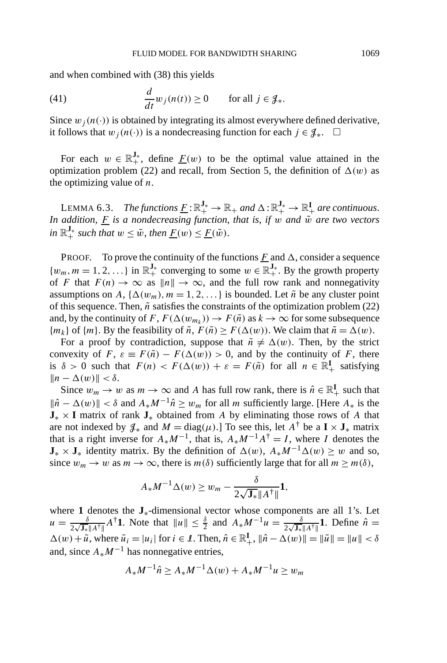and when combined with (38) this yields

(41) 
$$
\frac{d}{dt}w_j(n(t)) \ge 0 \quad \text{for all } j \in \mathcal{J}_*.
$$

Since  $w_i(n(\cdot))$  is obtained by integrating its almost everywhere defined derivative, it follows that  $w_j(n(\cdot))$  is a nondecreasing function for each  $j \in \mathcal{J}_*$ . □

For each  $w \in \mathbb{R}_+^{J_*}$ , define  $\underline{F}(w)$  to be the optimal value attained in the optimization problem (22) and recall, from Section 5, the definition of  $\Delta(w)$  as the optimizing value of *n*.

LEMMA 6.3. *The functions*  $\underline{F} : \mathbb{R}^{\mathbf{J}_*}_+ \to \mathbb{R}_+$  and  $\Delta : \mathbb{R}^{\mathbf{J}_*}_+ \to \mathbb{R}^{\mathbf{I}}_+$  are continuous. *In addition,*  $\underline{F}$  *is a nondecreasing function, that is, if w and*  $\tilde{w}$  *are two vectors*  $in \mathbb{R}_+^{\mathbf{J}_*}$  *such that*  $w \leq \tilde{w}$ *, then*  $\underline{F}(w) \leq \underline{F}(\tilde{w})$ *.* 

**PROOF.** To prove the continuity of the functions  $\overline{F}$  and  $\Delta$ , consider a sequence  $\{w_m, m = 1, 2, ...\}$  in  $\mathbb{R}^{J_*}_+$  converging to some  $w \in \mathbb{R}^{J_*}_+$ . By the growth property of *F* that  $F(n) \to \infty$  as  $||n|| \to \infty$ , and the full row rank and nonnegativity assumptions on *A*,  $\{\Delta(w_m), m = 1, 2, ...\}$  is bounded. Let  $\tilde{n}$  be any cluster point of this sequence. Then,  $\tilde{n}$  satisfies the constraints of the optimization problem (22) and, by the continuity of *F*,  $F(\Delta(w_{m_k})) \to F(\tilde{n})$  as  $k \to \infty$  for some subsequence  ${m_k}$  of  ${m}$ . By the feasibility of  $\tilde{n}$ ,  $F(\tilde{n}) \ge F(\Delta(w))$ . We claim that  $\tilde{n} = \Delta(w)$ .

For a proof by contradiction, suppose that  $\tilde{n} \neq \Delta(w)$ . Then, by the strict convexity of *F*,  $\varepsilon \equiv F(\tilde{n}) - F(\Delta(w)) > 0$ , and by the continuity of *F*, there is  $\delta > 0$  such that  $F(n) < F(\Delta(w)) + \varepsilon = F(\tilde{n})$  for all  $n \in \mathbb{R}^I_+$  satisfying  $||n - \Delta(w)|| < \delta$ .

Since  $w_m \to w$  as  $m \to \infty$  and A has full row rank, there is  $\hat{n} \in \mathbb{R}^I_+$  such that  $\|\hat{n} - \Delta(w)\| < \delta$  and  $A_*M^{-1}\hat{n} \geq w_m$  for all *m* sufficiently large. [Here  $A_*$  is the **J**<sup>∗</sup> × **I** matrix of rank **J**<sup>∗</sup> obtained from *A* by eliminating those rows of *A* that are not indexed by  $\mathcal{J}_*$  and  $M = \text{diag}(\mu)$ .] To see this, let  $A^{\dagger}$  be a  $\mathbf{I} \times \mathbf{J}_*$  matrix that is a right inverse for  $A^*M^{-1}$ , that is,  $A^*M^{-1}A^{\dagger} = I$ , where *I* denotes the **J**<sup>∗</sup> × **J**<sup>∗</sup> identity matrix. By the definition of  $\Delta(w)$ ,  $A^*M^{-1}\Delta(w) \geq w$  and so, since  $w_m \to w$  as  $m \to \infty$ , there is  $m(\delta)$  sufficiently large that for all  $m \ge m(\delta)$ ,

$$
A_*M^{-1}\Delta(w)\geq w_m-\frac{\delta}{2\sqrt{\mathbf{J}_*}\|A^{\dagger}\|}\mathbf{1},
$$

where **1** denotes the **J**∗-dimensional vector whose components are all 1's. Let  $u = \frac{\delta}{2\sqrt{\mathbf{J}_*||A^{\dagger}||}} A^{\dagger}$ **1**. Note that  $||u|| \leq \frac{\delta}{2}$  and  $A_* M^{-1}u = \frac{\delta}{2\sqrt{\mathbf{J}_*||A^{\dagger}||}}$ **1**. Define  $\hat{n} =$  $\Delta(w) + \tilde{u}$ , where  $\tilde{u}_i = |u_i|$  for  $i \in \mathcal{I}$ . Then,  $\hat{n} \in \mathbb{R}^I_+$ ,  $\|\hat{n} - \Delta(w)\| = \|\tilde{u}\| = \|u\| < \delta$ and, since *A*∗*M*−<sup>1</sup> has nonnegative entries,

$$
A_* M^{-1} \hat{n} \ge A_* M^{-1} \Delta(w) + A_* M^{-1} u \ge w_m
$$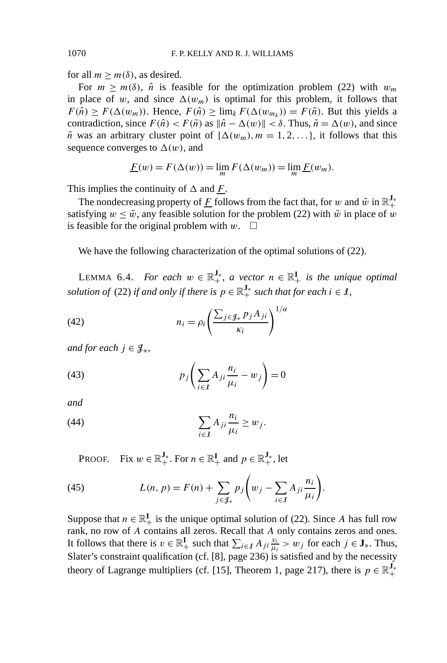for all  $m \ge m(\delta)$ , as desired.

For  $m > m(\delta)$ ,  $\hat{n}$  is feasible for the optimization problem (22) with  $w_m$ in place of *w*, and since  $\Delta(w_m)$  is optimal for this problem, it follows that  $F(\hat{n}) \ge F(\Delta(w_m))$ . Hence,  $F(\hat{n}) \ge \lim_k F(\Delta(w_{m_k})) = F(\tilde{n})$ . But this yields a contradiction, since  $F(\hat{n}) < F(\tilde{n})$  as  $\|\hat{n} - \Delta(w)\| < \delta$ . Thus,  $\tilde{n} = \Delta(w)$ , and since  $\tilde{n}$  was an arbitrary cluster point of  $\{\Delta(w_m), m = 1, 2, ...\}$ , it follows that this sequence converges to  $\Delta(w)$ , and

$$
\underline{F}(w) = F(\Delta(w)) = \lim_{m} F(\Delta(w_m)) = \lim_{m} \underline{F}(w_m).
$$

This implies the continuity of  $\Delta$  and  $\overline{F}$ .

The nondecreasing property of  $\underline{F}$  follows from the fact that, for  $w$  and  $\tilde{w}$  in  $\mathbb{R}^{\mathbf{J}_+}_+$ satisfying  $w \leq \tilde{w}$ , any feasible solution for the problem (22) with  $\tilde{w}$  in place of w is feasible for the original problem with  $w$ .  $\square$ 

We have the following characterization of the optimal solutions of (22).

LEMMA 6.4. *For each*  $w \in \mathbb{R}^{J_*}_+$ , *a vector*  $n \in \mathbb{R}^{I}_+$  *is the unique optimal solution of* (22) *if and only if there is*  $p \in \mathbb{R}^{\mathbf{J}_{\ast}}_{+}$  *such that for each i*  $\in$   $\ell$ ,

(42) 
$$
n_{i} = \rho_{i} \left( \frac{\sum_{j \in \mathcal{J}_{*}} p_{j} A_{ji}}{\kappa_{i}} \right)^{1/\alpha}
$$

*and for each*  $j \in \mathcal{J}_{*}$ ,

(43) 
$$
p_j \left( \sum_{i \in I} A_{ji} \frac{n_i}{\mu_i} - w_j \right) = 0
$$

*and*

(44) 
$$
\sum_{i \in I} A_{ji} \frac{n_i}{\mu_i} \ge w_j.
$$

PROOF. Fix  $w \in \mathbb{R}^{\mathbf{J}_*}_+$ . For  $n \in \mathbb{R}^{\mathbf{I}}_+$  and  $p \in \mathbb{R}^{\mathbf{J}_*}_+$ , let

(45) 
$$
L(n, p) = F(n) + \sum_{j \in \mathcal{J}_*} p_j \left( w_j - \sum_{i \in \mathcal{I}} A_{ji} \frac{n_i}{\mu_i} \right).
$$

Suppose that  $n \in \mathbb{R}^I_+$  is the unique optimal solution of (22). Since *A* has full row rank, no row of *A* contains all zeros. Recall that *A* only contains zeros and ones. It follows that there is  $v \in \mathbb{R}^I_+$  such that  $\sum_{i \in I} A_{ji} \frac{v_i}{\mu_i} > w_j$  for each  $j \in J_*$ . Thus, Slater's constraint qualification (cf. [8], page 236) is satisfied and by the necessity theory of Lagrange multipliers (cf. [15], Theorem 1, page 217), there is  $p \in \mathbb{R}^{\mathbf{J}_*}_+$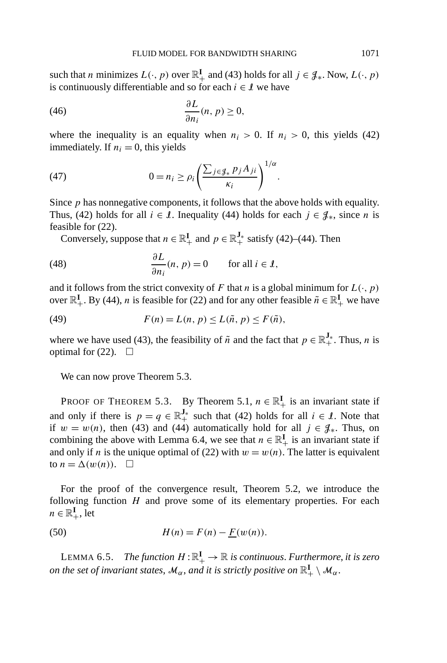such that *n* minimizes  $L(\cdot, p)$  over  $\mathbb{R}^I_+$  and (43) holds for all  $j \in \mathcal{J}_*$ . Now,  $L(\cdot, p)$ is continuously differentiable and so for each  $i \in \mathcal{I}$  we have

(46) 
$$
\frac{\partial L}{\partial n_i}(n, p) \ge 0,
$$

where the inequality is an equality when  $n_i > 0$ . If  $n_i > 0$ , this yields (42) immediately. If  $n_i = 0$ , this yields

(47) 
$$
0 = n_i \ge \rho_i \left( \frac{\sum_{j \in \mathcal{J}_*} p_j A_{ji}}{\kappa_i} \right)^{1/\alpha}.
$$

Since *p* has nonnegative components, it follows that the above holds with equality. Thus, (42) holds for all  $i \in \mathcal{I}$ . Inequality (44) holds for each  $j \in \mathcal{J}_*$ , since *n* is feasible for (22).

Conversely, suppose that  $n \in \mathbb{R}^I_+$  and  $p \in \mathbb{R}^{J_*}_+$  satisfy (42)–(44). Then

(48) 
$$
\frac{\partial L}{\partial n_i}(n, p) = 0 \quad \text{for all } i \in \mathcal{I},
$$

and it follows from the strict convexity of *F* that *n* is a global minimum for  $L(\cdot, p)$ over  $\mathbb{R}^I_+$ . By (44), *n* is feasible for (22) and for any other feasible  $\tilde{n} \in \mathbb{R}^I_+$  we have

(49) 
$$
F(n) = L(n, p) \le L(\tilde{n}, p) \le F(\tilde{n}),
$$

where we have used (43), the feasibility of  $\tilde{n}$  and the fact that  $p \in \mathbb{R}^{\mathbf{J}_*}_+$ . Thus, *n* is optimal for  $(22)$ .  $\Box$ 

We can now prove Theorem 5.3.

PROOF OF THEOREM 5.3. By Theorem 5.1,  $n \in \mathbb{R}^I_+$  is an invariant state if and only if there is  $p = q \in \mathbb{R}^{J_*}$  such that (42) holds for all  $i \in I$ . Note that if  $w = w(n)$ , then (43) and (44) automatically hold for all  $j \in \mathcal{J}_*$ . Thus, on combining the above with Lemma 6.4, we see that  $n \in \mathbb{R}^I_+$  is an invariant state if and only if *n* is the unique optimal of (22) with  $w = w(n)$ . The latter is equivalent to  $n = \Delta(w(n))$ .  $\Box$ 

For the proof of the convergence result, Theorem 5.2, we introduce the following function *H* and prove some of its elementary properties. For each  $n \in \mathbb{R}^{\mathbf{I}}_+$ , let

(50) 
$$
H(n) = F(n) - \underline{F}(w(n)).
$$

LEMMA 6.5. *The function*  $H:\mathbb{R}_+^{\mathbf{I}}\to\mathbb{R}$  *is continuous. Furthermore, it is zero on the set of invariant states,*  $\mathcal{M}_{\alpha}$ *, and it is strictly positive on*  $\mathbb{R}^{\mathbf{I}}_+ \setminus \mathcal{M}_{\alpha}$ .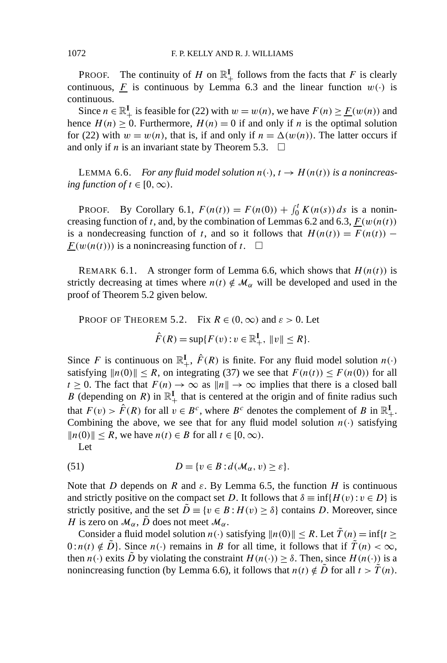PROOF. The continuity of *H* on  $\mathbb{R}^I_+$  follows from the facts that *F* is clearly continuous, *F* is continuous by Lemma 6.3 and the linear function  $w(\cdot)$  is continuous.

Since  $n \in \mathbb{R}^I_+$  is feasible for (22) with  $w = w(n)$ , we have  $F(n) \ge \underline{F}(w(n))$  and hence  $H(n) \geq 0$ . Furthermore,  $H(n) = 0$  if and only if *n* is the optimal solution for (22) with  $w = w(n)$ , that is, if and only if  $n = \Delta(w(n))$ . The latter occurs if and only if *n* is an invariant state by Theorem 5.3.  $\Box$ 

LEMMA 6.6. *For any fluid model solution*  $n(\cdot)$ ,  $t \to H(n(t))$  *is a nonincreasing function of*  $t \in [0, \infty)$ .

PROOF. By Corollary 6.1,  $F(n(t)) = F(n(0)) + \int_0^t K(n(s)) ds$  is a nonincreasing function of *t*, and, by the combination of Lemmas 6.2 and 6.3,  $F(w(n(t))$ is a nondecreasing function of *t*, and so it follows that  $H(n(t)) = F(n(t))$  –  $F(w(n(t)))$  is a nonincreasing function of *t*.  $\Box$ 

REMARK 6.1. A stronger form of Lemma 6.6, which shows that  $H(n(t))$  is strictly decreasing at times where  $n(t) \notin \mathcal{M}_{\alpha}$  will be developed and used in the proof of Theorem 5.2 given below.

PROOF OF THEOREM 5.2. Fix  $R \in (0, \infty)$  and  $\varepsilon > 0$ . Let  $\hat{F}(R) = \sup\{F(v) : v \in \mathbb{R}^I_+, \|v\| \le R\}.$ 

Since *F* is continuous on  $\mathbb{R}^I_+$ ,  $\hat{F}(R)$  is finite. For any fluid model solution  $n(\cdot)$ satisfying  $||n(0)|| \le R$ , on integrating (37) we see that  $F(n(t)) \le F(n(0))$  for all  $t \geq 0$ . The fact that  $F(n) \to \infty$  as  $||n|| \to \infty$  implies that there is a closed ball *B* (depending on *R*) in  $\mathbb{R}^I_+$  that is centered at the origin and of finite radius such that  $F(v) > \hat{F}(R)$  for all  $v \in B^c$ , where  $B^c$  denotes the complement of B in  $\mathbb{R}^I_+$ . Combining the above, we see that for any fluid model solution  $n(\cdot)$  satisfying  $||n(0)||$  ≤ *R*, we have  $n(t)$  ∈ *B* for all  $t \in [0, \infty)$ .

Let

(51) 
$$
D = \{v \in B : d(\mathcal{M}_{\alpha}, v) \geq \varepsilon\}.
$$

Note that *D* depends on *R* and  $ε$ . By Lemma 6.5, the function *H* is continuous and strictly positive on the compact set *D*. It follows that  $\delta \equiv \inf\{H(v): v \in D\}$  is strictly positive, and the set  $\ddot{D} \equiv \{v \in B : H(v) \ge \delta\}$  contains *D*. Moreover, since *H* is zero on  $\mathcal{M}_{\alpha}$ ,  $\tilde{D}$  does not meet  $\mathcal{M}_{\alpha}$ .

Consider a fluid model solution  $n(\cdot)$  satisfying  $||n(0)|| \leq R$ . Let  $\tilde{T}(n) = \inf\{t \geq 0\}$  $0:n(t) \notin \tilde{D}$ . Since  $n(\cdot)$  remains in *B* for all time, it follows that if  $\tilde{T}(n) < \infty$ , then  $n(\cdot)$  exits  $\tilde{D}$  by violating the constraint  $H(n(\cdot)) \geq \delta$ . Then, since  $H(n(\cdot))$  is a nonincreasing function (by Lemma 6.6), it follows that  $n(t) \notin \overline{D}$  for all  $t > \overline{T}(n)$ .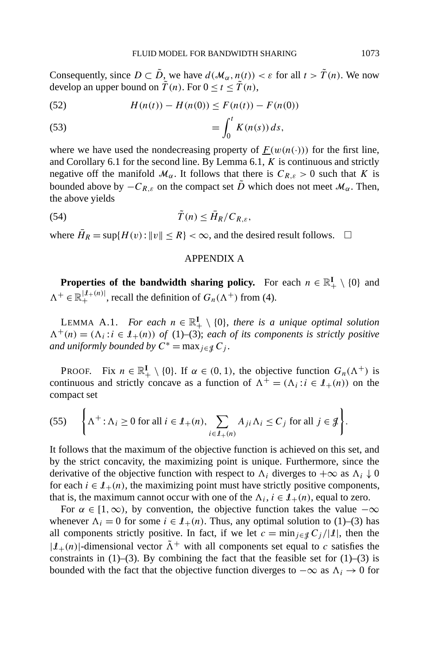Consequently, since  $D \subset \tilde{D}$ , we have  $d(\mathcal{M}_{\alpha}, n(t)) < \varepsilon$  for all  $t > \tilde{T}(n)$ . We now develop an upper bound on  $\tilde{T}(n)$ . For  $0 \le t \le \tilde{T}(n)$ ,

(52) 
$$
H(n(t)) - H(n(0)) \leq F(n(t)) - F(n(0))
$$

(53) 
$$
= \int_0^t K(n(s)) ds,
$$

where we have used the nondecreasing property of  $F(w(n(\cdot)))$  for the first line, and Corollary 6.1 for the second line. By Lemma 6.1, *K* is continuous and strictly negative off the manifold  $\mathcal{M}_{\alpha}$ . It follows that there is  $C_{R,\varepsilon} > 0$  such that *K* is bounded above by  $-C_{R,\varepsilon}$  on the compact set  $\tilde{D}$  which does not meet  $\mathcal{M}_{\alpha}$ . Then, the above yields

*T (n)* ˜ ≤ *H*¯ (54) *R/CR,ε,*

where  $\overline{H}_R = \sup \{ H(v) : ||v|| \le R \} < \infty$ , and the desired result follows.  $\Box$ 

### APPENDIX A

**Properties of the bandwidth sharing policy.** For each  $n \in \mathbb{R}^I_+ \setminus \{0\}$  and  $\Lambda^+ \in \mathbb{R}_+^{\vert \mathcal{I}_+(n) \vert}$ , recall the definition of  $G_n(\Lambda^+)$  from (4).

LEMMA A.1. *For each*  $n \in \mathbb{R}_+^{\mathbf{I}} \setminus \{0\}$ , *there is a unique optimal solution*  $\Lambda^+(n) = (\Lambda_i : i \in \mathcal{I}_+(n))$  of (1)–(3); each of its components is strictly positive *and uniformly bounded by*  $C^* = \max_{j \in \mathcal{J}} C_j$ .

PROOF. Fix  $n \in \mathbb{R}^I_+ \setminus \{0\}$ . If  $\alpha \in (0, 1)$ , the objective function  $G_n(\Lambda^+)$  is continuous and strictly concave as a function of  $\Lambda^+ = (\Lambda_i : i \in I_+(n))$  on the compact set

(55) 
$$
\left\{\Lambda^+:\Lambda_i\geq 0 \text{ for all } i\in\mathcal{I}_+(n), \sum_{i\in\mathcal{I}_+(n)} A_{ji}\Lambda_i\leq C_j \text{ for all } j\in\mathcal{J}\right\}.
$$

It follows that the maximum of the objective function is achieved on this set, and by the strict concavity, the maximizing point is unique. Furthermore, since the derivative of the objective function with respect to  $\Lambda_i$  diverges to  $+\infty$  as  $\Lambda_i \downarrow 0$ for each  $i \in I_+(n)$ , the maximizing point must have strictly positive components, that is, the maximum cannot occur with one of the  $\Lambda_i$ ,  $i \in \mathcal{I}_+(n)$ , equal to zero.

For  $\alpha \in [1, \infty)$ , by convention, the objective function takes the value  $-\infty$ whenever  $\Lambda_i = 0$  for some  $i \in \mathcal{I}_+(n)$ . Thus, any optimal solution to (1)–(3) has all components strictly positive. In fact, if we let  $c = \min_{j \in \mathcal{J}} C_j / |\mathcal{I}|$ , then the  $|I_{+}(n)|$ -dimensional vector  $\tilde{\Lambda}^{+}$  with all components set equal to *c* satisfies the constraints in  $(1)$ –(3). By combining the fact that the feasible set for  $(1)$ –(3) is bounded with the fact that the objective function diverges to  $-\infty$  as  $\Lambda_i \to 0$  for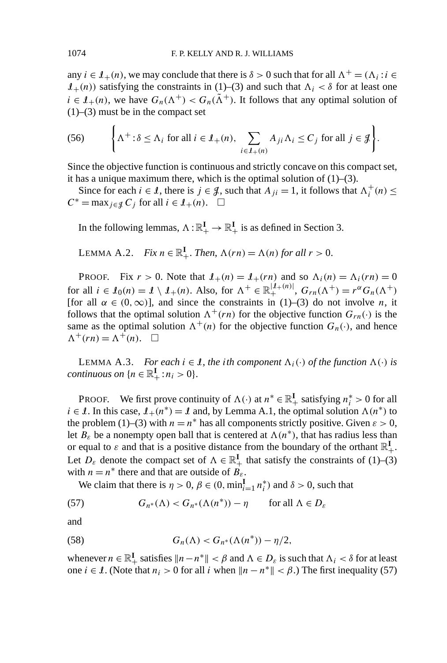any  $i \in \mathcal{I}_+(n)$ , we may conclude that there is  $\delta > 0$  such that for all  $\Lambda^+ = (\Lambda_i : i \in$  $I_{+}(n)$ ) satisfying the constraints in (1)–(3) and such that  $\Lambda_i < \delta$  for at least one  $i \in I_{+}(n)$ , we have  $G_n(\Lambda^+) < G_n(\tilde{\Lambda}^+)$ . It follows that any optimal solution of  $(1)$ – $(3)$  must be in the compact set

(56) 
$$
\left\{\Lambda^+ : \delta \leq \Lambda_i \text{ for all } i \in \mathcal{I}_+(n), \sum_{i \in \mathcal{I}_+(n)} A_{ji} \Lambda_i \leq C_j \text{ for all } j \in \mathcal{J}\right\}.
$$

Since the objective function is continuous and strictly concave on this compact set, it has a unique maximum there, which is the optimal solution of (1)–(3).

Since for each  $i \in \mathcal{I}$ , there is  $j \in \mathcal{J}$ , such that  $A_{ji} = 1$ , it follows that  $\Lambda_i^+(n) \leq$  $C^* = \max_{i \in \mathcal{I}} C_i$  for all  $i \in \mathcal{I}_+(n)$ .  $\square$ 

In the following lemmas,  $\Lambda : \mathbb{R}^I_+ \to \mathbb{R}^I_+$  is as defined in Section 3.

LEMMA A.2. Fix 
$$
n \in \mathbb{R}^I_+
$$
. Then,  $\Lambda(rn) = \Lambda(n)$  for all  $r > 0$ .

PROOF. Fix  $r > 0$ . Note that  $\mathcal{I}_+(n) = \mathcal{I}_+(rn)$  and so  $\Lambda_i(n) = \Lambda_i(rn) = 0$ for all  $i \in I_0(n) = I \setminus I_+(n)$ . Also, for  $\Lambda^+ \in \mathbb{R}_+^{|I_+(n)|}$ ,  $G_{rn}(\Lambda^+) = r^{\alpha}G_n(\Lambda^+)$ [for all  $\alpha \in (0, \infty)$ ], and since the constraints in (1)–(3) do not involve *n*, it follows that the optimal solution  $\Lambda^+(rn)$  for the objective function  $G_{rn}(\cdot)$  is the same as the optimal solution  $\Lambda^+(n)$  for the objective function  $G_n(\cdot)$ , and hence  $\Lambda^+(rn) = \Lambda^+(n)$ .  $\Box$ 

LEMMA A.3. *For each*  $i \in \mathcal{I}$ , the *i*th component  $\Lambda_i(\cdot)$  of the function  $\Lambda(\cdot)$  is *continuous on*  $\{n \in \mathbb{R}^I_+ : n_i > 0\}.$ 

PROOF. We first prove continuity of  $\Lambda(\cdot)$  at  $n^* \in \mathbb{R}^I_+$  satisfying  $n_i^* > 0$  for all *i* ∈ *I*. In this case,  $I_+(n^*) = I$  and, by Lemma A.1, the optimal solution  $\Lambda(n^*)$  to the problem (1)–(3) with  $n = n^*$  has all components strictly positive. Given  $\varepsilon > 0$ , let  $B_{\varepsilon}$  be a nonempty open ball that is centered at  $\Lambda(n^*)$ , that has radius less than or equal to  $\varepsilon$  and that is a positive distance from the boundary of the orthant  $\mathbb{R}^I_+$ . Let  $D_{\varepsilon}$  denote the compact set of  $\Lambda \in \mathbb{R}^{\mathbf{I}}_+$  that satisfy the constraints of (1)–(3) with  $n = n^*$  there and that are outside of  $B_{\varepsilon}$ .

We claim that there is  $\eta > 0$ ,  $\beta \in (0, \min_{i=1}^{\mathbf{I}} n_i^*)$  and  $\delta > 0$ , such that

(57)  $G_{n^*}(\Lambda) < G_{n^*}(\Lambda(n^*)) - \eta$  for all  $\Lambda \in D_{\varepsilon}$ 

and

(58) 
$$
G_n(\Lambda) < G_{n^*}(\Lambda(n^*)) - \eta/2,
$$

whenever  $n \in \mathbb{R}^I_+$  satisfies  $\|n - n^*\| < \beta$  and  $\Lambda \in D_\varepsilon$  is such that  $\Lambda_i < \delta$  for at least one *i* ∈ *I*. (Note that  $n_i > 0$  for all *i* when  $||n - n^*|| < \beta$ .) The first inequality (57)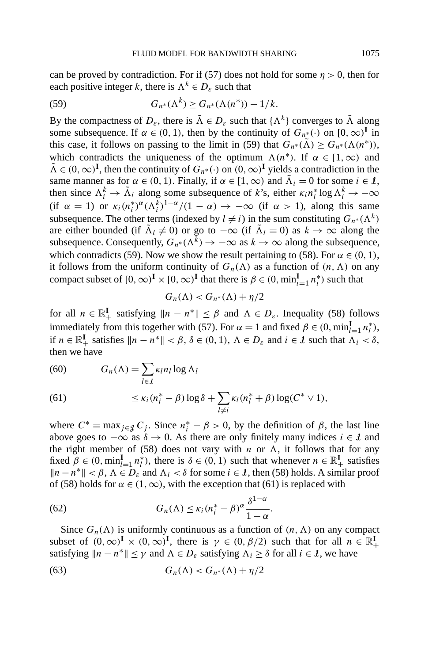can be proved by contradiction. For if (57) does not hold for some  $\eta > 0$ , then for each positive integer *k*, there is  $\Lambda^k \in D_\varepsilon$  such that

(59) 
$$
G_{n^*}(\Lambda^k) \ge G_{n^*}(\Lambda(n^*)) - 1/k.
$$

By the compactness of  $D_{\varepsilon}$ , there is  $\tilde{\Lambda} \in D_{\varepsilon}$  such that  $\{\Lambda^k\}$  converges to  $\tilde{\Lambda}$  along some subsequence. If  $\alpha \in (0, 1)$ , then by the continuity of  $G_{n^*}(\cdot)$  on  $[0, \infty)^I$  in this case, it follows on passing to the limit in (59) that  $G_n*(\tilde{\Lambda}) \geq G_n*(\Lambda(n^*)),$ which contradicts the uniqueness of the optimum  $\Lambda(n^*)$ . If  $\alpha \in [1,\infty)$  and  $\tilde{\Lambda} \in (0, \infty)^{\mathbf{I}}$ , then the continuity of  $G_{n^*}(\cdot)$  on  $(0, \infty)^{\mathbf{I}}$  yields a contradiction in the same manner as for  $\alpha \in (0, 1)$ . Finally, if  $\alpha \in [1, \infty)$  and  $\tilde{\Lambda}_i = 0$  for some  $i \in \mathcal{I}$ , then since  $\Lambda_i^k \to \tilde{\Lambda}_i$  along some subsequence of *k*'s, either  $\kappa_i n_i^* \log \Lambda_i^k \to -\infty$ (if  $\alpha = 1$ ) or  $\kappa_i(n_i^*)^{\alpha}(\Lambda_i^k)^{1-\alpha}/(1-\alpha) \to -\infty$  (if  $\alpha > 1$ ), along this same subsequence. The other terms (indexed by  $l \neq i$ ) in the sum constituting  $G_{n^*}(\Lambda^k)$ are either bounded (if  $\tilde{\Lambda}_l \neq 0$ ) or go to  $-\infty$  (if  $\tilde{\Lambda}_l = 0$ ) as  $k \to \infty$  along the subsequence. Consequently,  $G_{n^*}(\Lambda^k) \to -\infty$  as  $k \to \infty$  along the subsequence, which contradicts (59). Now we show the result pertaining to (58). For  $\alpha \in (0, 1)$ , it follows from the uniform continuity of  $G_n(\Lambda)$  as a function of  $(n, \Lambda)$  on any compact subset of  $[0, \infty)^{\mathbf{I}} \times [0, \infty)^{\mathbf{I}}$  that there is  $\beta \in (0, \min_{i=1}^{\mathbf{I}} n_i^*)$  such that

$$
G_n(\Lambda) < G_{n^*}(\Lambda) + \eta/2
$$

for all  $n \in \mathbb{R}^I_+$  satisfying  $\|n - n^*\| \leq \beta$  and  $\Lambda \in D_{\varepsilon}$ . Inequality (58) follows immediately from this together with (57). For  $\alpha = 1$  and fixed  $\beta \in (0, \min_{l=1}^{\mathbf{I}} n_l^*)$ , if  $n \in \mathbb{R}^I_+$  satisfies  $\|n - n^*\| < \beta$ ,  $\delta \in (0, 1)$ ,  $\Lambda \in D_\varepsilon$  and  $i \in \mathcal{I}$  such that  $\Lambda_i < \delta$ , then we have

(60) 
$$
G_n(\Lambda) = \sum_{l \in \mathcal{I}} \kappa_l n_l \log \Lambda_l
$$

(61) 
$$
\leq \kappa_i(n_i^* - \beta) \log \delta + \sum_{l \neq i} \kappa_l(n_l^* + \beta) \log(C^* \vee 1),
$$

where  $C^* = \max_{j \in \mathcal{J}} C_j$ . Since  $n_i^* - \beta > 0$ , by the definition of  $\beta$ , the last line above goes to  $-\infty$  as  $\delta \to 0$ . As there are only finitely many indices *i* ∈ *l* and the right member of (58) does not vary with *n* or  $\Lambda$ , it follows that for any fixed  $\beta \in (0, \min_{l=1}^{\mathbf{I}} n_l^*)$ , there is  $\delta \in (0, 1)$  such that whenever  $n \in \mathbb{R}^{\mathbf{I}}_+$  satisfies *||n*−*n*<sup>∗</sup>  $\parallel$  <  $\beta$ ,  $\Lambda \in D_{\varepsilon}$  and  $\Lambda_i$  <  $\delta$  for some *i* ∈ *I*, then (58) holds. A similar proof of (58) holds for  $\alpha \in (1, \infty)$ , with the exception that (61) is replaced with

(62) 
$$
G_n(\Lambda) \leq \kappa_i (n_i^* - \beta)^{\alpha} \frac{\delta^{1-\alpha}}{1-\alpha}.
$$

Since  $G_n(\Lambda)$  is uniformly continuous as a function of  $(n, \Lambda)$  on any compact subset of  $(0, \infty)^{\mathbf{I}} \times (0, \infty)^{\mathbf{I}}$ , there is  $\gamma \in (0, \beta/2)$  such that for all  $n \in \mathbb{R}^{\mathbf{I}}_+$ satisfying  $\|n - n^*\| \le \gamma$  and  $\Lambda \in D_{\varepsilon}$  satisfying  $\Lambda_i \ge \delta$  for all  $i \in \mathcal{I}$ , we have

(63) 
$$
G_n(\Lambda) < G_{n^*}(\Lambda) + \eta/2
$$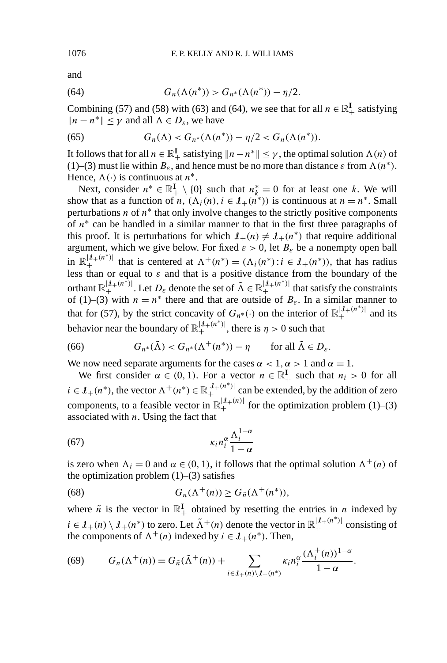and

(64) 
$$
G_n(\Lambda(n^*)) > G_{n^*}(\Lambda(n^*)) - \eta/2.
$$

Combining (57) and (58) with (63) and (64), we see that for all  $n \in \mathbb{R}^I_+$  satisfying  $||n - n^*||$  < γ and all  $\Lambda$  ∈  $D_{\varepsilon}$ , we have

(65) 
$$
G_n(\Lambda) < G_{n^*}(\Lambda(n^*)) - \eta/2 < G_n(\Lambda(n^*)).
$$

It follows that for all  $n \in \mathbb{R}^I_+$  satisfying  $\|n - n^*\| \leq \gamma$ , the optimal solution  $\Lambda(n)$  of (1)–(3) must lie within  $B_{\varepsilon}$ , and hence must be no more than distance  $\varepsilon$  from  $\Lambda(n^*)$ . Hence,  $\Lambda(\cdot)$  is continuous at  $n^*$ .

Next, consider  $n^* \in \mathbb{R}^I_+ \setminus \{0\}$  such that  $n^*_{k} = 0$  for at least one k. We will show that as a function of *n*,  $(\Lambda_i(n), i \in I_+(n^*))$  is continuous at  $n = n^*$ . Small perturbations  $n$  of  $n^*$  that only involve changes to the strictly positive components of *n*<sup>∗</sup> can be handled in a similar manner to that in the first three paragraphs of this proof. It is perturbations for which  $I_+(n) \neq I_+(n^*)$  that require additional argument, which we give below. For fixed  $\varepsilon > 0$ , let  $B_{\varepsilon}$  be a nonempty open ball in  $\mathbb{R}^{|I_{+}(n^*)|}_{+}$  that is centered at  $\Lambda^{+}(n^*) = (\Lambda_i(n^*) : i \in I_{+}(n^*))$ , that has radius less than or equal to *ε* and that is a positive distance from the boundary of the orthant  $\mathbb{R}^{|\mathcal{I}_{+}(n^*)|}_+$ . Let  $D_{\varepsilon}$  denote the set of  $\tilde{\Lambda} \in \mathbb{R}^{|\mathcal{I}_{+}(n^*)|}_+$  that satisfy the constraints of (1)–(3) with  $n = n^*$  there and that are outside of  $B_{\varepsilon}$ . In a similar manner to that for (57), by the strict concavity of  $G_{n^*}(\cdot)$  on the interior of  $\mathbb{R}^{|I_{+}(n^*)|}_{+}$  and its behavior near the boundary of  $\mathbb{R}^{|\mathcal{I}_+(n^*)|}_+$ , there is  $\eta > 0$  such that

(66) 
$$
G_{n^*}(\tilde{\Lambda}) < G_{n^*}(\Lambda^+(n^*)) - \eta \quad \text{for all } \tilde{\Lambda} \in D_{\varepsilon}.
$$

We now need separate arguments for the cases  $\alpha < 1$ ,  $\alpha > 1$  and  $\alpha = 1$ .

We first consider  $\alpha \in (0, 1)$ . For a vector  $n \in \mathbb{R}^I_+$  such that  $n_i > 0$  for all  $i \in \mathcal{I}_+(n^*)$ , the vector  $\Lambda^+(n^*) \in \mathbb{R}_+^{|\mathcal{I}_+(n^*)|}$  can be extended, by the addition of zero components, to a feasible vector in  $\mathbb{R}^{|\mathcal{I}_{+}(n)|}_{+}$  for the optimization problem (1)–(3) associated with *n*. Using the fact that

$$
\kappa_i n_i^{\alpha} \frac{\Lambda_i^{1-\alpha}}{1-\alpha}
$$

is zero when  $\Lambda_i = 0$  and  $\alpha \in (0, 1)$ , it follows that the optimal solution  $\Lambda^+(n)$  of the optimization problem  $(1)$ – $(3)$  satisfies

(68) 
$$
G_n(\Lambda^+(n)) \ge G_{\tilde{n}}(\Lambda^+(n^*)),
$$

where  $\tilde{n}$  is the vector in  $\mathbb{R}^I_+$  obtained by resetting the entries in *n* indexed by  $i \in I_+(n) \setminus I_+(n^*)$  to zero. Let  $\tilde{\Lambda}^+(n)$  denote the vector in  $\mathbb{R}^{|I_+(n^*)|}_+$  consisting of the components of  $\Lambda^+(n)$  indexed by  $i \in \mathcal{I}_+(n^*)$ . Then,

(69) 
$$
G_n(\Lambda^+(n)) = G_{\tilde{n}}(\tilde{\Lambda}^+(n)) + \sum_{i \in \mathcal{I}_+(n) \setminus \mathcal{I}_+(n^*)} \kappa_i n_i^{\alpha} \frac{(\Lambda_i^+(n))^{1-\alpha}}{1-\alpha}.
$$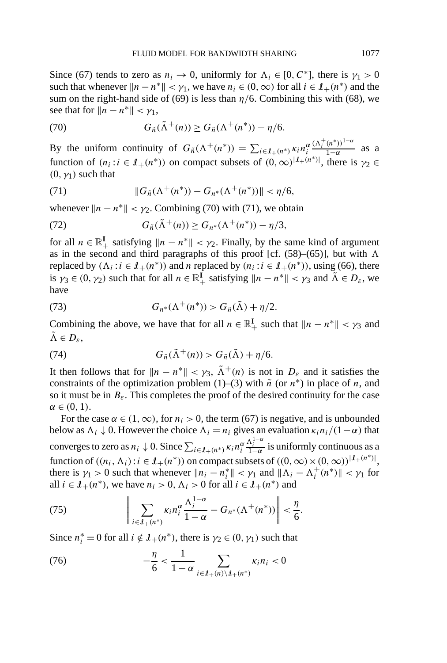Since (67) tends to zero as  $n_i \rightarrow 0$ , uniformly for  $\Lambda_i \in [0, C^*]$ , there is  $\gamma_1 > 0$ such that whenever  $||n - n^*|| < \gamma_1$ , we have  $n_i \in (0, \infty)$  for all  $i \in \mathcal{I}_+(n^*)$  and the sum on the right-hand side of (69) is less than  $\eta/6$ . Combining this with (68), we see that for  $||n - n^*|| < \gamma_1$ ,

(70) 
$$
G_{\tilde{n}}(\tilde{\Lambda}^+(n)) \geq G_{\tilde{n}}(\Lambda^+(n^*)) - \eta/6.
$$

By the uniform continuity of  $G_{\tilde{n}}(\Lambda^+(n^*)) = \sum_{i \in I_+(n^*)} \kappa_i n_i^{\alpha}$  $\frac{(\Lambda_i^+(n^*))^{1-\alpha}}{1-\alpha}$  as a function of  $(n_i : i \in I_+(n^*))$  on compact subsets of  $(0, \infty)^{|I_+(n^*)|}$ , there is  $\gamma_2 \in$  $(0, \gamma_1)$  such that

(71) 
$$
||G_{\tilde{n}}(\Lambda^+(n^*)) - G_{n^*}(\Lambda^+(n^*))|| < \eta/6,
$$

whenever  $||n - n^*|| < \gamma_2$ . Combining (70) with (71), we obtain

(72) 
$$
G_{\tilde{n}}(\tilde{\Lambda}^+(n)) \ge G_{n^*}(\Lambda^+(n^*)) - \eta/3,
$$

for all  $n \in \mathbb{R}^I_+$  satisfying  $\|n - n^*\| < \gamma_2$ . Finally, by the same kind of argument as in the second and third paragraphs of this proof [cf. (58)–(65)], but with  $\Lambda$ replaced by  $(\Lambda_i : i \in \mathcal{I}_+(n^*))$  and *n* replaced by  $(n_i : i \in \mathcal{I}_+(n^*))$ , using (66), there is  $\gamma_3 \in (0, \gamma_2)$  such that for all  $n \in \mathbb{R}^1_+$  satisfying  $\|n - n^*\| < \gamma_3$  and  $\tilde{\Lambda} \in D_{\varepsilon}$ , we have

(73) 
$$
G_{n^*}(\Lambda^+(n^*)) > G_{\tilde{n}}(\tilde{\Lambda}) + \eta/2.
$$

Combining the above, we have that for all  $n \in \mathbb{R}^I_+$  such that  $||n - n^*|| < \gamma_3$  and  $\tilde{\Lambda} \in D_{\varepsilon},$ 

(74) 
$$
G_{\tilde{n}}(\tilde{\Lambda}^+(n)) > G_{\tilde{n}}(\tilde{\Lambda}) + \eta/6.
$$

It then follows that for  $||n - n^*|| < \gamma_3$ ,  $\tilde{\Lambda}^+(n)$  is not in  $D_{\varepsilon}$  and it satisfies the constraints of the optimization problem (1)–(3) with  $\tilde{n}$  (or  $n^*$ ) in place of *n*, and so it must be in  $B_{\varepsilon}$ . This completes the proof of the desired continuity for the case  $\alpha \in (0, 1)$ .

For the case  $\alpha \in (1, \infty)$ , for  $n_i > 0$ , the term (67) is negative, and is unbounded below as  $\Lambda_i \downarrow 0$ . However the choice  $\Lambda_i = n_i$  gives an evaluation  $\kappa_i n_i/(1-\alpha)$  that converges to zero as  $n_i \downarrow 0$ . Since  $\sum_{i \in \mathcal{I}_+(n^*)} \kappa_i n_i^{\alpha} \frac{\Lambda_i^{1-\alpha}}{1-\alpha}$  is uniformly continuous as a function of  $((n_i, \Lambda_i): i \in I_+(n^*))$  on compact subsets of  $((0, \infty) \times (0, \infty))^{[1+(n^*)]},$ there is  $\gamma_1 > 0$  such that whenever  $||n_i - n_i|| < \gamma_1$  and  $||\Lambda_i - \Lambda_i^+(n^*)|| < \gamma_1$  for all  $i \in I_+(n^*)$ , we have  $n_i > 0$ ,  $\Lambda_i > 0$  for all  $i \in I_+(n^*)$  and

(75) 
$$
\left\|\sum_{i\in\mathcal{I}_+(n^*)}\kappa_i n_i^{\alpha}\frac{\Lambda_i^{1-\alpha}}{1-\alpha}-G_{n^*}(\Lambda^+(n^*))\right\|<\frac{\eta}{6}.
$$

Since  $n_i^* = 0$  for all  $i \notin \mathcal{I}_+(n^*)$ , there is  $\gamma_2 \in (0, \gamma_1)$  such that

(76) 
$$
-\frac{\eta}{6} < \frac{1}{1-\alpha} \sum_{i \in \mathcal{I}_+(n) \setminus \mathcal{I}_+(n^*)} \kappa_i n_i < 0
$$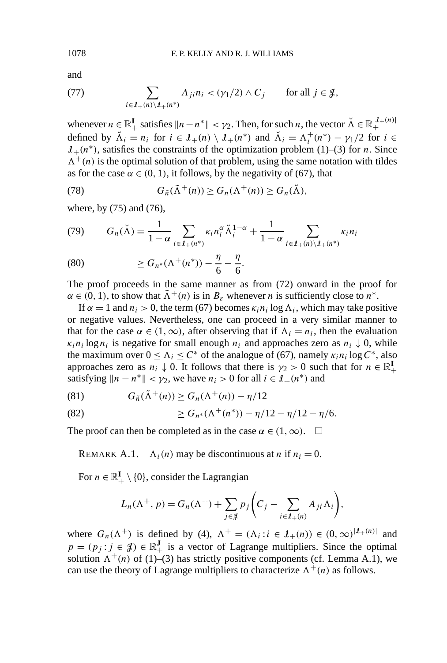and

(77) 
$$
\sum_{i \in \mathcal{I}_+(n) \setminus \mathcal{I}_+(n^*)} A_{ji} n_i < (\gamma_1/2) \wedge C_j \quad \text{for all } j \in \mathcal{J},
$$

whenever  $n \in \mathbb{R}^I_+$  satisfies  $||n - n^*|| < \gamma_2$ . Then, for such *n*, the vector  $\breve{\Lambda} \in \mathbb{R}^{|I_+(n)|}_+$ defined by  $\check{\Lambda}_i = n_i$  for  $i \in \mathcal{I}_+(n) \setminus \mathcal{I}_+(n^*)$  and  $\check{\Lambda}_i = \Lambda_i^+(n^*) - \gamma_1/2$  for  $i \in$  $I_{+}(n^*)$ , satisfies the constraints of the optimization problem (1)–(3) for *n*. Since  $\Lambda^+(n)$  is the optimal solution of that problem, using the same notation with tildes as for the case  $\alpha \in (0, 1)$ , it follows, by the negativity of (67), that

(78) 
$$
G_{\tilde{n}}(\tilde{\Lambda}^+(n)) \geq G_n(\Lambda^+(n)) \geq G_n(\tilde{\Lambda}),
$$

where, by (75) and (76),

$$
(79) \qquad G_n(\check{\Lambda}) = \frac{1}{1-\alpha} \sum_{i \in \mathcal{I}_+(n^*)} \kappa_i n_i^{\alpha} \check{\Lambda}_i^{1-\alpha} + \frac{1}{1-\alpha} \sum_{i \in \mathcal{I}_+(n) \setminus \mathcal{I}_+(n^*)} \kappa_i n_i
$$

(80) 
$$
\geq G_{n^*}(\Lambda^+(n^*)) - \frac{\eta}{6} - \frac{\eta}{6}.
$$

The proof proceeds in the same manner as from (72) onward in the proof for  $\alpha \in (0, 1)$ , to show that  $\tilde{\Lambda}^+(n)$  is in  $B_{\varepsilon}$  whenever *n* is sufficiently close to  $n^*$ .

If  $\alpha = 1$  and  $n_i > 0$ , the term (67) becomes  $\kappa_i n_i \log \Lambda_i$ , which may take positive or negative values. Nevertheless, one can proceed in a very similar manner to that for the case  $\alpha \in (1, \infty)$ , after observing that if  $\Lambda_i = n_i$ , then the evaluation  $\kappa_i n_i \log n_i$  is negative for small enough  $n_i$  and approaches zero as  $n_i \downarrow 0$ , while the maximum over  $0 \leq \Lambda_i \leq C^*$  of the analogue of (67), namely  $\kappa_i n_i \log C^*$ , also approaches zero as  $n_i \downarrow 0$ . It follows that there is  $\gamma_2 > 0$  such that for  $n \in \mathbb{R}^I_+$ satisfying  $||n - n^*|| < \gamma_2$ , we have  $n_i > 0$  for all  $i \in \mathcal{I}_+(n^*)$  and

(81) 
$$
G_{\tilde{n}}(\tilde{\Lambda}^+(n)) \geq G_n(\Lambda^+(n)) - \eta/12
$$

(82) 
$$
\geq G_{n^*}(\Lambda^+(n^*)) - \eta/12 - \eta/12 - \eta/6.
$$

The proof can then be completed as in the case  $\alpha \in (1, \infty)$ .  $\Box$ 

REMARK A.1.  $\Lambda_i(n)$  may be discontinuous at *n* if  $n_i = 0$ .

For  $n \in \mathbb{R}^I_+ \setminus \{0\}$ , consider the Lagrangian

$$
L_n(\Lambda^+, p) = G_n(\Lambda^+) + \sum_{j \in \mathcal{J}} p_j \left( C_j - \sum_{i \in \mathcal{I}_+(n)} A_{ji} \Lambda_i \right),
$$

where  $G_n(\Lambda^+)$  is defined by (4),  $\Lambda^+ = (\Lambda_i : i \in \mathcal{I}_+(n)) \in (0,\infty)^{|\mathcal{I}_+(n)|}$  and  $p = (p_j : j \in \mathcal{J}) \in \mathbb{R}^J_+$  is a vector of Lagrange multipliers. Since the optimal solution  $\Lambda^+(n)$  of (1)–(3) has strictly positive components (cf. Lemma A.1), we can use the theory of Lagrange multipliers to characterize  $\Lambda^+(n)$  as follows.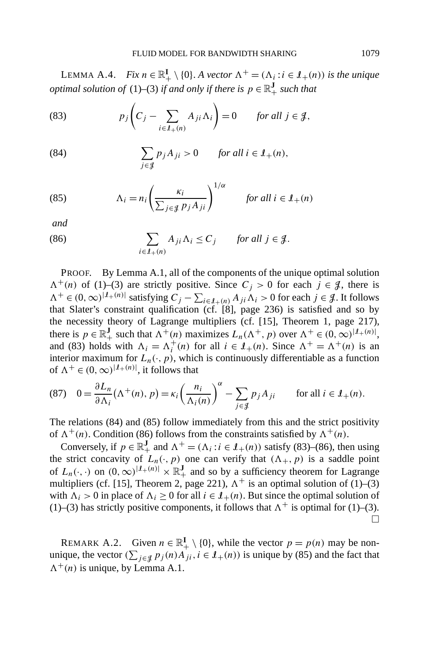LEMMA A.4. *Fix*  $n \in \mathbb{R}^I_+ \setminus \{0\}$ . *A vector*  $\Lambda^+ = (\Lambda_i : i \in \mathcal{I}_+(n))$  *is the unique optimal solution of* (1)–(3) *if and only if there is*  $p \in \mathbb{R}_+^J$  *such that* 

(83) 
$$
p_j\left(C_j-\sum_{i\in\mathcal{I}_+(n)}A_{ji}\Lambda_i\right)=0 \quad \text{for all } j\in\mathcal{J},
$$

(84) 
$$
\sum_{j \in \mathcal{J}} p_j A_{ji} > 0 \quad \text{for all } i \in \mathcal{I}_+(n),
$$

(85) 
$$
\Lambda_i = n_i \left( \frac{\kappa_i}{\sum_{j \in \mathcal{J}} p_j A_{ji}} \right)^{1/\alpha} \quad \text{for all } i \in \mathcal{I}_+(n)
$$

*and*

(86) 
$$
\sum_{i \in \mathcal{I}_+(n)} A_{ji} \Lambda_i \leq C_j \quad \text{for all } j \in \mathcal{J}.
$$

PROOF. By Lemma A.1, all of the components of the unique optimal solution  $\Lambda^+(n)$  of (1)–(3) are strictly positive. Since  $C_j > 0$  for each  $j \in \mathcal{J}$ , there is  $\Lambda^+$  ∈  $(0, \infty)^{|\mathcal{I}_+(n)|}$  satisfying  $C_j - \sum_{i \in \mathcal{I}_+(n)} A_{ji} \Lambda_i > 0$  for each  $j \in \mathcal{J}$ . It follows that Slater's constraint qualification (cf. [8], page 236) is satisfied and so by the necessity theory of Lagrange multipliers (cf. [15], Theorem 1, page 217), there is  $p \in \mathbb{R}_+^J$  such that  $\Lambda^+(n)$  maximizes  $L_n(\Lambda^+, p)$  over  $\Lambda^+ \in (0, \infty)^{|I_+(n)|}$ , and (83) holds with  $\Lambda_i = \Lambda_i^+(n)$  for all  $i \in I_+(n)$ . Since  $\Lambda^+ = \Lambda^+(n)$  is an interior maximum for  $L_n(\cdot, p)$ , which is continuously differentiable as a function of  $\Lambda^+ \in (0, \infty)^{|\mathcal{I}_+(n)|}$ , it follows that

(87) 
$$
0 = \frac{\partial L_n}{\partial \Lambda_i} (\Lambda^+(n), p) = \kappa_i \left( \frac{n_i}{\Lambda_i(n)} \right)^{\alpha} - \sum_{j \in \mathcal{J}} p_j A_{ji} \quad \text{for all } i \in \mathcal{I}_+(n).
$$

The relations (84) and (85) follow immediately from this and the strict positivity of  $\Lambda^+(n)$ . Condition (86) follows from the constraints satisfied by  $\Lambda^+(n)$ .

Conversely, if  $p \in \mathbb{R}^J_+$  and  $\Lambda^+ = (\Lambda_i : i \in \mathcal{I}_+(n))$  satisfy (83)–(86), then using the strict concavity of  $L_n(\cdot, p)$  one can verify that  $(\Lambda_+, p)$  is a saddle point of  $L_n(\cdot, \cdot)$  on  $(0, \infty)^{|I_+(n)|} \times \mathbb{R}^J_+$  and so by a sufficiency theorem for Lagrange multipliers (cf. [15], Theorem 2, page 221),  $\Lambda^{+}$  is an optimal solution of (1)–(3) with  $\Lambda_i > 0$  in place of  $\Lambda_i \geq 0$  for all  $i \in \mathcal{I}_+(n)$ . But since the optimal solution of (1)–(3) has strictly positive components, it follows that  $\Lambda^+$  is optimal for (1)–(3).  $\Box$ 

REMARK A.2. Given  $n \in \mathbb{R}^I_+ \setminus \{0\}$ , while the vector  $p = p(n)$  may be nonunique, the vector  $(\sum_{j \in \mathcal{J}} p_j(n) A_{ji}, i \in \mathcal{I}_+(n))$  is unique by (85) and the fact that  $\Lambda^+(n)$  is unique, by Lemma A.1.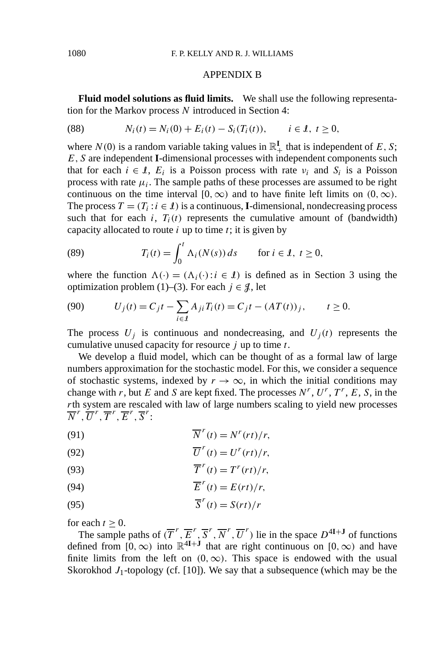#### APPENDIX B

**Fluid model solutions as fluid limits.** We shall use the following representation for the Markov process *N* introduced in Section 4:

(88) 
$$
N_i(t) = N_i(0) + E_i(t) - S_i(T_i(t)), \quad i \in \mathcal{I}, t \ge 0,
$$

where  $N(0)$  is a random variable taking values in  $\mathbb{R}_+^{\mathbf{I}}$  that is independent of E, S; *E,S* are independent **I**-dimensional processes with independent components such that for each  $i \in I$ ,  $E_i$  is a Poisson process with rate  $v_i$  and  $S_i$  is a Poisson process with rate  $\mu_i$ . The sample paths of these processes are assumed to be right continuous on the time interval  $[0, \infty)$  and to have finite left limits on  $(0, \infty)$ . The process  $T = (T_i : i \in \mathcal{I})$  is a continuous, **I**-dimensional, nondecreasing process such that for each  $i$ ,  $T_i(t)$  represents the cumulative amount of (bandwidth) capacity allocated to route *i* up to time *t*; it is given by

(89) 
$$
T_i(t) = \int_0^t \Lambda_i(N(s)) ds \quad \text{for } i \in \mathcal{I}, t \ge 0,
$$

where the function  $\Lambda(\cdot) = (\Lambda_i(\cdot): i \in \mathcal{I})$  is defined as in Section 3 using the optimization problem (1)–(3). For each  $j \in \mathcal{J}$ , let

(90) 
$$
U_j(t) = C_j t - \sum_{i \in I} A_{ji} T_i(t) = C_j t - (AT(t))_j, \qquad t \ge 0.
$$

The process  $U_j$  is continuous and nondecreasing, and  $U_j(t)$  represents the cumulative unused capacity for resource *j* up to time *t*.

We develop a fluid model, which can be thought of as a formal law of large numbers approximation for the stochastic model. For this, we consider a sequence of stochastic systems, indexed by  $r \to \infty$ , in which the initial conditions may change with *r*, but *E* and *S* are kept fixed. The processes  $N^r$ ,  $U^r$ ,  $T^r$ ,  $E$ ,  $S$ , in the *r*th system are rescaled with law of large numbers scaling to yield new processes  $\overline{N}^r, \overline{U}^r, \overline{T}^r, \overline{E}^r, \overline{S}^r$ 

(91) 
$$
\overline{N}^r(t) = N^r(rt)/r,
$$

(92) 
$$
\overline{U}^r(t) = U^r(rt)/r,
$$

(93) 
$$
\overline{T}^r(t) = T^r(rt)/r,
$$

(94) 
$$
\overline{E}^r(t) = E(rt)/r,
$$

(95) 
$$
\overline{S}^r(t) = S(rt)/r
$$

for each  $t > 0$ .

The sample paths of  $(\overline{T}^r, \overline{E}^r, \overline{S}^r, \overline{N}^r, \overline{U}^r)$  lie in the space  $D^{4I+J}$  of functions defined from  $[0, \infty)$  into  $\mathbb{R}^{4I+J}$  that are right continuous on  $[0, \infty)$  and have finite limits from the left on  $(0, \infty)$ . This space is endowed with the usual Skorokhod  $J_1$ -topology (cf. [10]). We say that a subsequence (which may be the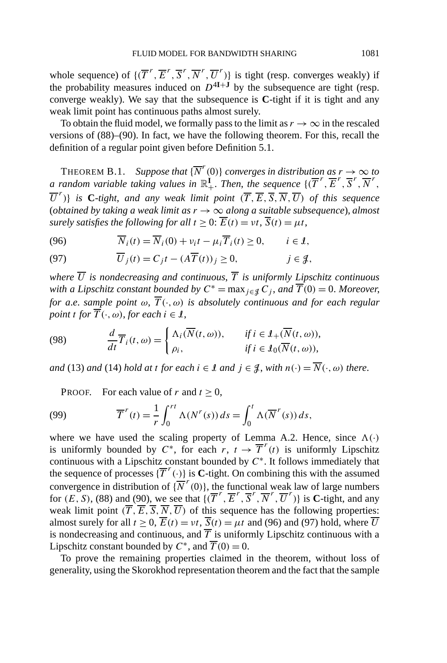whole sequence) of  $\{(\overline{T}^r, \overline{E}^r, \overline{S}^r, \overline{N}^r, \overline{U}^r)\}$  is tight (resp. converges weakly) if the probability measures induced on  $D^{4I+J}$  by the subsequence are tight (resp. converge weakly). We say that the subsequence is **C**-tight if it is tight and any weak limit point has continuous paths almost surely.

To obtain the fluid model, we formally pass to the limit as  $r \to \infty$  in the rescaled versions of (88)–(90). In fact, we have the following theorem. For this, recall the definition of a regular point given before Definition 5.1.

THEOREM B.1. *Suppose that*  $\{\overline{N}^r(0)\}$  *converges in distribution as*  $r \to \infty$  *to a* random variable taking values in  $\mathbb{R}^1_+$ . Then, the sequence  $\{(\overline{T}^r, \overline{E}^r, \overline{S}^r, \overline{N}^r, \overline{S}^r, \overline{N}^r, \overline{S}^r, \overline{N}^r, \overline{S}^r, \overline{N}^r, \overline{N}^r, \overline{N}^r, \overline{N}^r, \overline{N}^r, \overline{N}^r, \overline{N}^r, \overline{N$  $\overline{U}^r$ )} *is* C-tight, and any weak limit point  $(\overline{T}, \overline{E}, \overline{S}, \overline{N}, \overline{U})$  of this sequence (*obtained by taking a weak limit as*  $r \rightarrow \infty$  *along a suitable subsequence*), *almost surely satisfies the following for all*  $t \geq 0$ :  $\overline{E}(t) = vt$ ,  $\overline{S}(t) = \mu t$ ,

(96) 
$$
\overline{N}_i(t) = \overline{N}_i(0) + v_i t - \mu_i \overline{T}_i(t) \ge 0, \quad i \in \mathcal{I},
$$

(97) 
$$
\overline{U}_j(t) = C_j t - (A\overline{T}(t))_j \ge 0, \qquad j \in \mathcal{J},
$$

*where*  $\overline{U}$  *is nondecreasing and continuous*,  $\overline{T}$  *is uniformly Lipschitz continuous with a Lipschitz constant bounded by*  $C^* = \max_{i \in \mathcal{J}} C_i$ , *and*  $\overline{T}(0) = 0$ . *Moreover*, *for a.e. sample point*  $\omega$ ,  $\overline{T}(\cdot,\omega)$  *is absolutely continuous and for each regular point t for*  $\overline{T}(\cdot, \omega)$ *, for each*  $i \in \mathcal{I}$ *,* 

(98) 
$$
\frac{d}{dt}\overline{T}_i(t,\omega) = \begin{cases} \Delta_i(\overline{N}(t,\omega)), & \text{if } i \in \mathcal{I}_+(\overline{N}(t,\omega)), \\ \rho_i, & \text{if } i \in \mathcal{I}_0(\overline{N}(t,\omega)), \end{cases}
$$

*and* (13) *and* (14) *hold at t for each*  $i \in \mathcal{I}$  *and*  $j \in \mathcal{J}$ , *with*  $n(\cdot) = \overline{N}(\cdot, \omega)$  *there.* 

PROOF. For each value of  $r$  and  $t > 0$ ,

(99) 
$$
\overline{T}^r(t) = \frac{1}{r} \int_0^{rt} \Lambda(N^r(s)) ds = \int_0^t \Lambda(\overline{N}^r(s)) ds,
$$

where we have used the scaling property of Lemma A.2. Hence, since  $\Lambda(\cdot)$ is uniformly bounded by  $C^*$ , for each  $r, t \rightarrow \overline{T}^r(t)$  is uniformly Lipschitz continuous with a Lipschitz constant bounded by *C*∗. It follows immediately that the sequence of processes  $\{\overline{T}^r(\cdot)\}$  is **C**-tight. On combining this with the assumed convergence in distribution of  $\{N^r(0)\}$ , the functional weak law of large numbers for  $(E, S)$ , (88) and (90), we see that  $\{(\overline{T}^r, \overline{E}^r, \overline{S}^r, \overline{N}^r, \overline{U}^r)\}$  is **C**-tight, and any weak limit point  $(\overline{T}, \overline{E}, \overline{S}, \overline{N}, \overline{U})$  of this sequence has the following properties: almost surely for all  $t \ge 0$ ,  $\overline{E}(t) = vt$ ,  $\overline{S}(t) = \mu t$  and (96) and (97) hold, where  $\overline{U}$ is nondecreasing and continuous, and  $\overline{T}$  is uniformly Lipschitz continuous with a Lipschitz constant bounded by  $C^*$ , and  $\overline{T}(0) = 0$ .

To prove the remaining properties claimed in the theorem, without loss of generality, using the Skorokhod representation theorem and the fact that the sample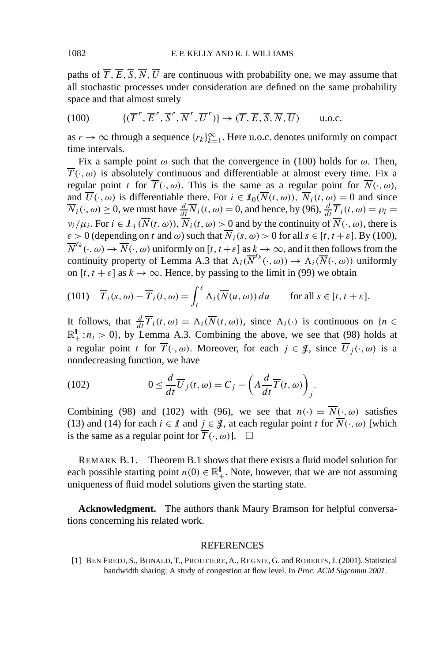paths of  $\overline{T}$ ,  $\overline{E}$ ,  $\overline{S}$ ,  $\overline{N}$ ,  $\overline{U}$  are continuous with probability one, we may assume that all stochastic processes under consideration are defined on the same probability space and that almost surely

(100) 
$$
\{(\overline{T}^r, \overline{E}^r, \overline{S}^r, \overline{N}^r, \overline{U}^r)\} \to (\overline{T}, \overline{E}, \overline{S}, \overline{N}, \overline{U}) \quad \text{u.o.c.}
$$

as  $r \to \infty$  through a sequence  $\{r_k\}_{k=1}^{\infty}$ . Here u.o.c. denotes uniformly on compact time intervals.

Fix a sample point  $\omega$  such that the convergence in (100) holds for  $\omega$ . Then,  $\overline{T}(\cdot,\omega)$  is absolutely continuous and differentiable at almost every time. Fix a regular point *t* for  $\overline{T}(\cdot,\omega)$ . This is the same as a regular point for  $\overline{N}(\cdot,\omega)$ , and  $\overline{U}(\cdot,\omega)$  is differentiable there. For  $i \in I_0(\overline{N}(t,\omega))$ ,  $\overline{N}_i(t,\omega) = 0$  and since  $\overline{N}_i(\cdot,\omega) \ge 0$ , we must have  $\frac{d}{dt}\overline{N}_i(t,\omega) = 0$ , and hence, by (96),  $\frac{d}{dt}\overline{T}_i(t,\omega) = \rho_i = 0$  $\nu_i/\mu_i$ . For  $i \in \mathcal{I}_+(\overline{N}(t,\omega))$ ,  $\overline{N}_i(t,\omega) > 0$  and by the continuity of  $\overline{N}(\cdot,\omega)$ , there is  $\varepsilon > 0$  (depending on *t* and  $\omega$ ) such that  $\overline{N}_i(s, \omega) > 0$  for all  $s \in [t, t + \varepsilon]$ . By (100),  $\overline{N}^{r_k}(\cdot,\omega) \to \overline{N}(\cdot,\omega)$  uniformly on  $[t, t + \varepsilon]$  as  $k \to \infty$ , and it then follows from the continuity property of Lemma A.3 that  $\Lambda_i(\overline{N}^{r_k}(\cdot,\omega)) \to \Lambda_i(\overline{N}(\cdot,\omega))$  uniformly on  $[t, t + \varepsilon]$  as  $k \to \infty$ . Hence, by passing to the limit in (99) we obtain

(101) 
$$
\overline{T}_i(s, \omega) - \overline{T}_i(t, \omega) = \int_t^s \Lambda_i(\overline{N}(u, \omega)) du
$$
 for all  $s \in [t, t + \varepsilon]$ .

It follows, that  $\frac{d}{dt}\overline{T}_i(t,\omega) = \Lambda_i(\overline{N}(t,\omega))$ , since  $\Lambda_i(\cdot)$  is continuous on  $\{n \in \mathbb{Z}\}$  $\mathbb{R}^I_+$ :  $n_i > 0$ , by Lemma A.3. Combining the above, we see that (98) holds at a regular point *t* for  $\overline{T}(\cdot,\omega)$ . Moreover, for each  $j \in \mathcal{J}$ , since  $\overline{U}_j(\cdot,\omega)$  is a nondecreasing function, we have

(102) 
$$
0 \leq \frac{d}{dt}\overline{U}_j(t,\omega) = C_j - \left(A\frac{d}{dt}\overline{T}(t,\omega)\right)_j.
$$

Combining (98) and (102) with (96), we see that  $n(\cdot) = \overline{N}(\cdot, \omega)$  satisfies (13) and (14) for each  $i \in \mathcal{I}$  and  $j \in \mathcal{J}$ , at each regular point *t* for  $\overline{N}(\cdot, \omega)$  [which is the same as a regular point for  $\overline{T}(\cdot,\omega)$ ].  $\Box$ 

REMARK B.1. Theorem B.1 shows that there exists a fluid model solution for each possible starting point  $n(0) \in \mathbb{R}^I_+$ . Note, however, that we are not assuming uniqueness of fluid model solutions given the starting state.

**Acknowledgment.** The authors thank Maury Bramson for helpful conversations concerning his related work.

#### REFERENCES

[1] BEN FREDJ, S., BONALD, T., PROUTIERE, A., REGNIE, G. and ROBERTS, J. (2001). Statistical bandwidth sharing: A study of congestion at flow level. In *Proc. ACM Sigcomm 2001*.